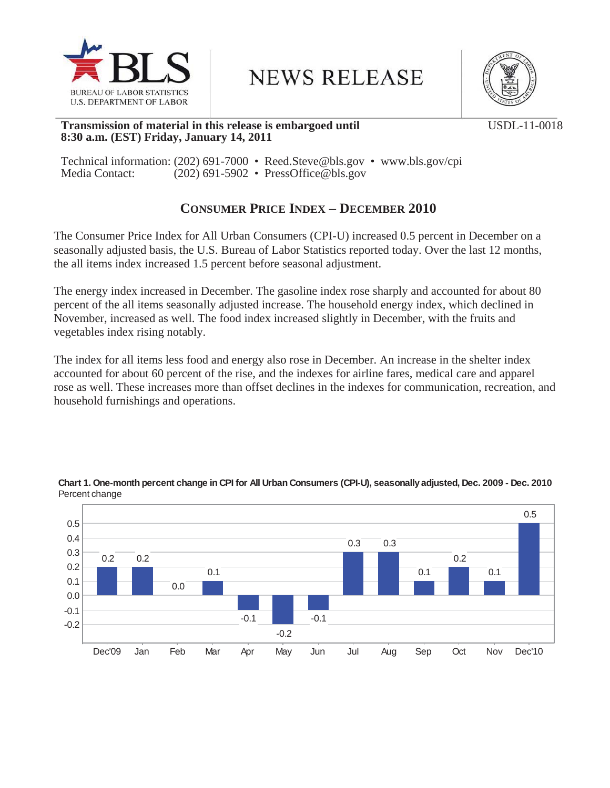

**NEWS RELEASE** 



### **Transmission of material in this release is embargoed until** USDL-11-0018 **8:30 a.m. (EST) Friday, January 14, 2011**

Technical information: (202) 691-7000 • Reed.Steve@bls.gov • www.bls.gov/cpi<br>Media Contact: (202) 691-5902 • PressOffice@bls.gov (202) 691-5902 • PressOffice@bls.gov

## **CONSUMER PRICE INDEX – DECEMBER 2010**

The Consumer Price Index for All Urban Consumers (CPI-U) increased 0.5 percent in December on a seasonally adjusted basis, the U.S. Bureau of Labor Statistics reported today. Over the last 12 months, the all items index increased 1.5 percent before seasonal adjustment.

The energy index increased in December. The gasoline index rose sharply and accounted for about 80 percent of the all items seasonally adjusted increase. The household energy index, which declined in November, increased as well. The food index increased slightly in December, with the fruits and vegetables index rising notably.

The index for all items less food and energy also rose in December. An increase in the shelter index accounted for about 60 percent of the rise, and the indexes for airline fares, medical care and apparel rose as well. These increases more than offset declines in the indexes for communication, recreation, and household furnishings and operations.



**Chart 1. One-month percent change in CPI for All Urban Consumers (CPI-U), seasonally adjusted, Dec. 2009 - Dec. 2010** Percent change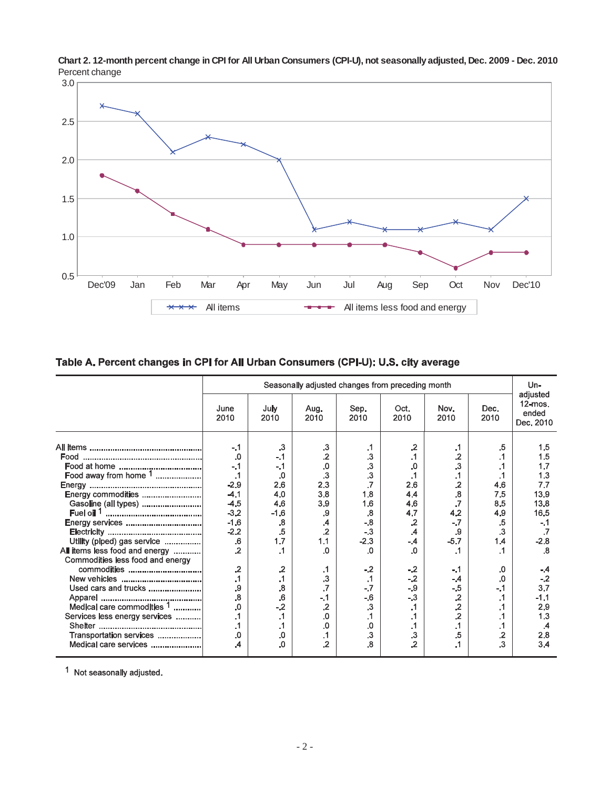

**Chart 2. 12-month percent change in CPI for All Urban Consumers (CPI-U), not seasonally adjusted, Dec. 2009 - Dec. 2010** Percent change

### Table A. Percent changes in CPI for All Urban Consumers (CPI-U): U.S. city average

|                                  |                         |                         |                         | Seasonally adjusted changes from preceding month |                 |                 |                 | $Un-$                                        |
|----------------------------------|-------------------------|-------------------------|-------------------------|--------------------------------------------------|-----------------|-----------------|-----------------|----------------------------------------------|
|                                  | June<br>2010            | July<br>2010            | Aug.<br>2010            | Sep.<br>2010                                     | Oct.<br>2010    | Nov.<br>2010    | Dec.<br>2010    | adjusted<br>$12$ -mos.<br>ended<br>Dec. 2010 |
|                                  | $-.1$                   | $\cdot$ 3               | $\cdot$ 3               | .1                                               | $\cdot$         | .1              | .5              | 1.5                                          |
|                                  | .0                      | $-1$                    | $\overline{2}$          | $\overline{\mathbf{3}}$                          | $\overline{.}1$ | $\overline{2}$  | $\overline{.}1$ | 1.5                                          |
|                                  | $-1$                    | $-1$                    | .0                      | $\cdot$ 3                                        | .0              | $\cdot$ 3       | $\cdot$ 1       | 1.7                                          |
| Food away from home 1            | $\cdot$ 1               | $\Omega$                | $\overline{\mathbf{3}}$ | $\cdot$                                          | .1              | $\overline{.}1$ | $\cdot$ 1       | 1.3                                          |
|                                  | $-2.9$                  | 2.6                     | 2.3                     | $\overline{.7}$                                  | 2.6             | $\overline{2}$  | 4.6             | 7.7                                          |
| Energy commodities               | $-4.1$                  | 4.0                     | 3.8                     | 1.8                                              | 4.4             | 8.              | 7.5             | 13.9                                         |
| Gasoline (all types)             | $-4.5$                  | 4.6                     | 3.9                     | 1.6                                              | 4.6             | .7              | 8.5             | 13.8                                         |
|                                  | $-3.2$                  | $-1.6$                  | .9                      | $\overline{\mathbf{8}}$                          | 4.7             | 4.2             | 4.9             | 16.5                                         |
|                                  | $-1.6$                  | $\overline{\mathbf{8}}$ | $\mathbf{.4}$           | $-8$                                             | $\cdot$         | $-.7$           | .5              | -.1                                          |
|                                  | $-2.2$                  | .5                      | $\overline{2}$          | $-.3$                                            | $\mathcal{A}$   | .9              | .3              | .7                                           |
| Utility (piped) gas service      | .6                      | 1.7                     | 1.1                     | $-2.3$                                           | $-4$            | $-5.7$          | 1.4             | $-2.8$                                       |
| All items less food and energy   | $\overline{2}$          | $\cdot$ 1               | $\Omega$                | $\Omega$                                         | $\Omega$        | .1              | $\cdot$ 1       | $\overline{\mathbf{8}}$                      |
| Commodities less food and energy |                         |                         |                         |                                                  |                 |                 |                 |                                              |
| commodities                      | $\cdot$                 | $\cdot$                 | $\cdot$ 1               | $-2$                                             | $-2$            | $-.1$           | .0              | -.4                                          |
|                                  | $\overline{.}1$         | $\cdot$ 1               | $\overline{\mathbf{3}}$ | $\cdot$ 1                                        | $-2$            | $-4$            | $\Omega$        | $-2$                                         |
| Used cars and trucks             | .9                      | $\overline{\mathbf{8}}$ | $\cdot$                 | $-7$                                             | $-9$            | $-.5$           | $-1$            | 3.7                                          |
|                                  | $\overline{\mathbf{8}}$ | $\overline{\mathbf{6}}$ | $-.1$                   | $-6$                                             | $-3$            | $\cdot$         | $\cdot$ 1       | -1.1                                         |
| Medical care commodities 1       | $\Omega$                | $-2$                    | $\overline{2}$          | $\cdot$ 3                                        | .1              | $\overline{2}$  | $\cdot$ 1       | 2.9                                          |
| Services less energy services    | .1                      | $\cdot$ 1               | $\Omega$                | .1                                               | .1              | $\overline{2}$  | $\cdot$ 1       | 1.3                                          |
|                                  | $\cdot$ 1               |                         | .0                      | .0                                               |                 | $\overline{.}1$ | $\overline{.}1$ | $\mathcal{A}$                                |
| Transportation services          | $\Omega$                | .0                      | $\cdot$ 1               | $\cdot$ 3                                        | $\mathbf{.3}$   | .5              | $\overline{2}$  | 2.8                                          |
| Medical care services            | .4                      | $\Omega$                | $\cdot$                 | $\overline{\mathbf{8}}$                          | $\mathbf{2}$    | .1              | $\overline{3}$  | 3.4                                          |

<sup>1</sup> Not seasonally adjusted.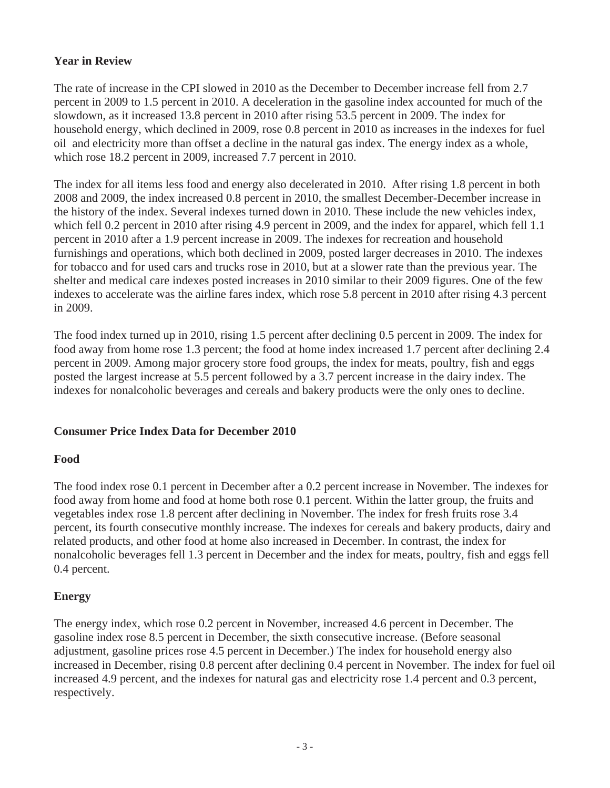## **Year in Review**

The rate of increase in the CPI slowed in 2010 as the December to December increase fell from 2.7 percent in 2009 to 1.5 percent in 2010. A deceleration in the gasoline index accounted for much of the slowdown, as it increased 13.8 percent in 2010 after rising 53.5 percent in 2009. The index for household energy, which declined in 2009, rose 0.8 percent in 2010 as increases in the indexes for fuel oil and electricity more than offset a decline in the natural gas index. The energy index as a whole, which rose 18.2 percent in 2009, increased 7.7 percent in 2010.

The index for all items less food and energy also decelerated in 2010. After rising 1.8 percent in both 2008 and 2009, the index increased 0.8 percent in 2010, the smallest December-December increase in the history of the index. Several indexes turned down in 2010. These include the new vehicles index, which fell 0.2 percent in 2010 after rising 4.9 percent in 2009, and the index for apparel, which fell 1.1 percent in 2010 after a 1.9 percent increase in 2009. The indexes for recreation and household furnishings and operations, which both declined in 2009, posted larger decreases in 2010. The indexes for tobacco and for used cars and trucks rose in 2010, but at a slower rate than the previous year. The shelter and medical care indexes posted increases in 2010 similar to their 2009 figures. One of the few indexes to accelerate was the airline fares index, which rose 5.8 percent in 2010 after rising 4.3 percent in 2009.

The food index turned up in 2010, rising 1.5 percent after declining 0.5 percent in 2009. The index for food away from home rose 1.3 percent; the food at home index increased 1.7 percent after declining 2.4 percent in 2009. Among major grocery store food groups, the index for meats, poultry, fish and eggs posted the largest increase at 5.5 percent followed by a 3.7 percent increase in the dairy index. The indexes for nonalcoholic beverages and cereals and bakery products were the only ones to decline.

## **Consumer Price Index Data for December 2010**

### **Food**

The food index rose 0.1 percent in December after a 0.2 percent increase in November. The indexes for food away from home and food at home both rose 0.1 percent. Within the latter group, the fruits and vegetables index rose 1.8 percent after declining in November. The index for fresh fruits rose 3.4 percent, its fourth consecutive monthly increase. The indexes for cereals and bakery products, dairy and related products, and other food at home also increased in December. In contrast, the index for nonalcoholic beverages fell 1.3 percent in December and the index for meats, poultry, fish and eggs fell 0.4 percent.

### **Energy**

The energy index, which rose 0.2 percent in November, increased 4.6 percent in December. The gasoline index rose 8.5 percent in December, the sixth consecutive increase. (Before seasonal adjustment, gasoline prices rose 4.5 percent in December.) The index for household energy also increased in December, rising 0.8 percent after declining 0.4 percent in November. The index for fuel oil increased 4.9 percent, and the indexes for natural gas and electricity rose 1.4 percent and 0.3 percent, respectively.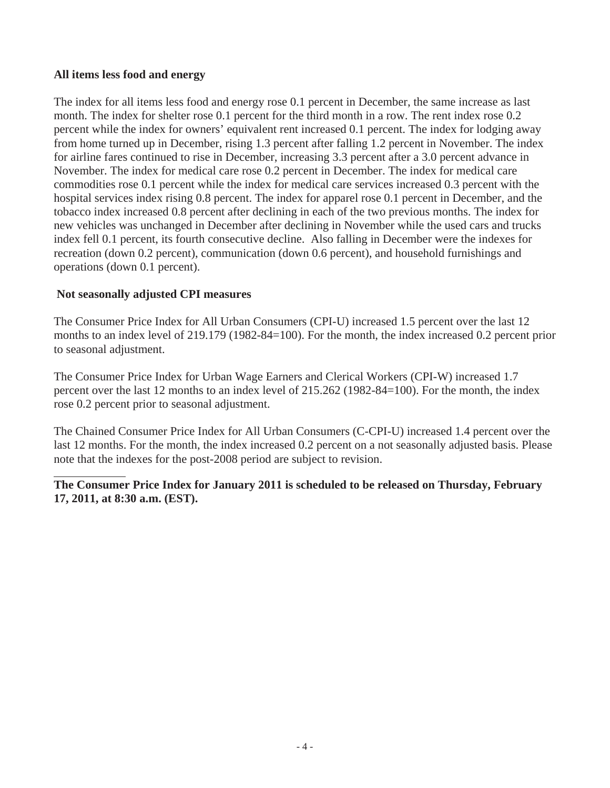## **All items less food and energy**

The index for all items less food and energy rose 0.1 percent in December, the same increase as last month. The index for shelter rose 0.1 percent for the third month in a row. The rent index rose 0.2 percent while the index for owners' equivalent rent increased 0.1 percent. The index for lodging away from home turned up in December, rising 1.3 percent after falling 1.2 percent in November. The index for airline fares continued to rise in December, increasing 3.3 percent after a 3.0 percent advance in November. The index for medical care rose 0.2 percent in December. The index for medical care commodities rose 0.1 percent while the index for medical care services increased 0.3 percent with the hospital services index rising 0.8 percent. The index for apparel rose 0.1 percent in December, and the tobacco index increased 0.8 percent after declining in each of the two previous months. The index for new vehicles was unchanged in December after declining in November while the used cars and trucks index fell 0.1 percent, its fourth consecutive decline. Also falling in December were the indexes for recreation (down 0.2 percent), communication (down 0.6 percent), and household furnishings and operations (down 0.1 percent).

## **Not seasonally adjusted CPI measures**

The Consumer Price Index for All Urban Consumers (CPI-U) increased 1.5 percent over the last 12 months to an index level of 219.179 (1982-84=100). For the month, the index increased 0.2 percent prior to seasonal adjustment.

The Consumer Price Index for Urban Wage Earners and Clerical Workers (CPI-W) increased 1.7 percent over the last 12 months to an index level of 215.262 (1982-84=100). For the month, the index rose 0.2 percent prior to seasonal adjustment.

The Chained Consumer Price Index for All Urban Consumers (C-CPI-U) increased 1.4 percent over the last 12 months. For the month, the index increased 0.2 percent on a not seasonally adjusted basis. Please note that the indexes for the post-2008 period are subject to revision.

**The Consumer Price Index for January 2011 is scheduled to be released on Thursday, February 17, 2011, at 8:30 a.m. (EST).**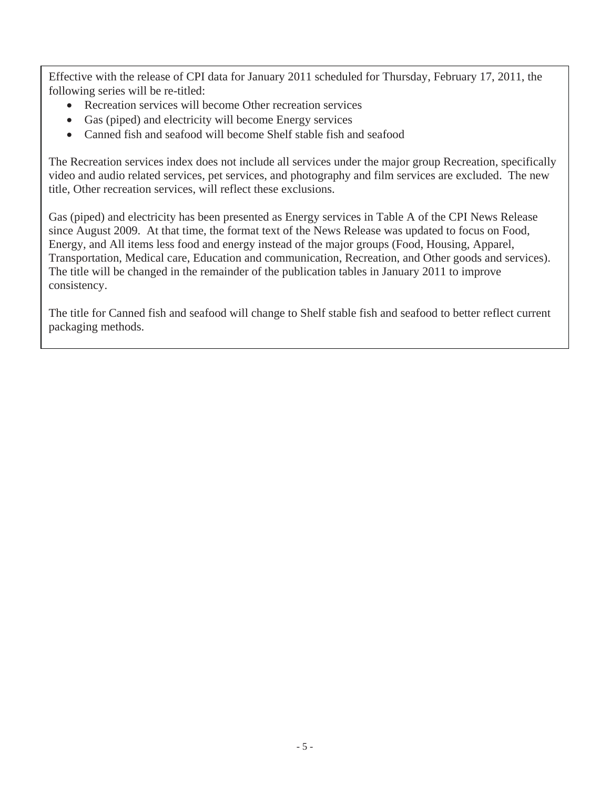Effective with the release of CPI data for January 2011 scheduled for Thursday, February 17, 2011, the following series will be re-titled:

- Recreation services will become Other recreation services
- $\bullet$ Gas (piped) and electricity will become Energy services
- $\bullet$ Canned fish and seafood will become Shelf stable fish and seafood

The Recreation services index does not include all services under the major group Recreation, specifically video and audio related services, pet services, and photography and film services are excluded. The new title, Other recreation services, will reflect these exclusions.

Gas (piped) and electricity has been presented as Energy services in Table A of the CPI News Release since August 2009. At that time, the format text of the News Release was updated to focus on Food, Energy, and All items less food and energy instead of the major groups (Food, Housing, Apparel, Transportation, Medical care, Education and communication, Recreation, and Other goods and services). The title will be changed in the remainder of the publication tables in January 2011 to improve consistency.

The title for Canned fish and seafood will change to Shelf stable fish and seafood to better reflect current packaging methods.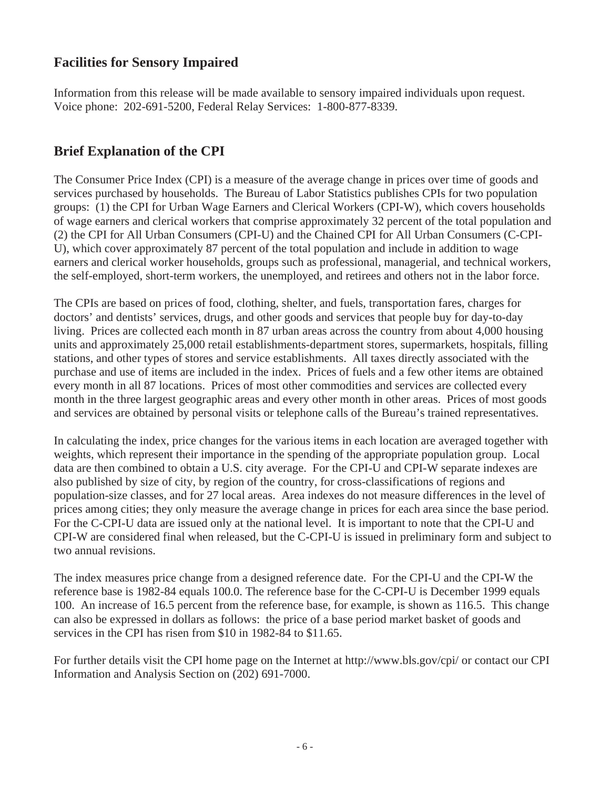## **Facilities for Sensory Impaired**

Information from this release will be made available to sensory impaired individuals upon request. Voice phone: 202-691-5200, Federal Relay Services: 1-800-877-8339.

## **Brief Explanation of the CPI**

The Consumer Price Index (CPI) is a measure of the average change in prices over time of goods and services purchased by households. The Bureau of Labor Statistics publishes CPIs for two population groups: (1) the CPI for Urban Wage Earners and Clerical Workers (CPI-W), which covers households of wage earners and clerical workers that comprise approximately 32 percent of the total population and (2) the CPI for All Urban Consumers (CPI-U) and the Chained CPI for All Urban Consumers (C-CPI-U), which cover approximately 87 percent of the total population and include in addition to wage earners and clerical worker households, groups such as professional, managerial, and technical workers, the self-employed, short-term workers, the unemployed, and retirees and others not in the labor force.

The CPIs are based on prices of food, clothing, shelter, and fuels, transportation fares, charges for doctors' and dentists' services, drugs, and other goods and services that people buy for day-to-day living. Prices are collected each month in 87 urban areas across the country from about 4,000 housing units and approximately 25,000 retail establishments-department stores, supermarkets, hospitals, filling stations, and other types of stores and service establishments. All taxes directly associated with the purchase and use of items are included in the index. Prices of fuels and a few other items are obtained every month in all 87 locations. Prices of most other commodities and services are collected every month in the three largest geographic areas and every other month in other areas. Prices of most goods and services are obtained by personal visits or telephone calls of the Bureau's trained representatives.

In calculating the index, price changes for the various items in each location are averaged together with weights, which represent their importance in the spending of the appropriate population group. Local data are then combined to obtain a U.S. city average. For the CPI-U and CPI-W separate indexes are also published by size of city, by region of the country, for cross-classifications of regions and population-size classes, and for 27 local areas. Area indexes do not measure differences in the level of prices among cities; they only measure the average change in prices for each area since the base period. For the C-CPI-U data are issued only at the national level. It is important to note that the CPI-U and CPI-W are considered final when released, but the C-CPI-U is issued in preliminary form and subject to two annual revisions.

The index measures price change from a designed reference date. For the CPI-U and the CPI-W the reference base is 1982-84 equals 100.0. The reference base for the C-CPI-U is December 1999 equals 100. An increase of 16.5 percent from the reference base, for example, is shown as 116.5. This change can also be expressed in dollars as follows: the price of a base period market basket of goods and services in the CPI has risen from \$10 in 1982-84 to \$11.65.

For further details visit the CPI home page on the Internet at http://www.bls.gov/cpi/ or contact our CPI Information and Analysis Section on (202) 691-7000.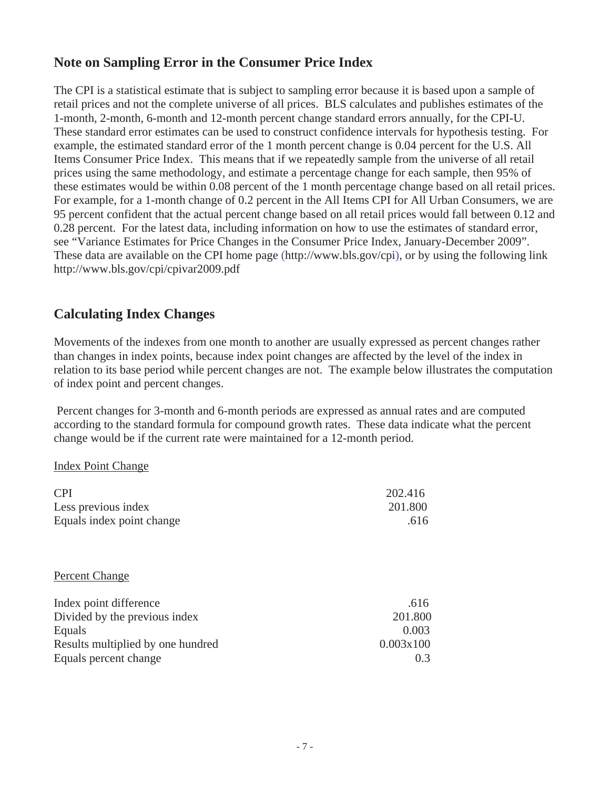# **Note on Sampling Error in the Consumer Price Index**

The CPI is a statistical estimate that is subject to sampling error because it is based upon a sample of retail prices and not the complete universe of all prices. BLS calculates and publishes estimates of the 1-month, 2-month, 6-month and 12-month percent change standard errors annually, for the CPI-U. These standard error estimates can be used to construct confidence intervals for hypothesis testing. For example, the estimated standard error of the 1 month percent change is 0.04 percent for the U.S. All Items Consumer Price Index. This means that if we repeatedly sample from the universe of all retail prices using the same methodology, and estimate a percentage change for each sample, then 95% of these estimates would be within 0.08 percent of the 1 month percentage change based on all retail prices. For example, for a 1-month change of 0.2 percent in the All Items CPI for All Urban Consumers, we are 95 percent confident that the actual percent change based on all retail prices would fall between 0.12 and 0.28 percent. For the latest data, including information on how to use the estimates of standard error, see "Variance Estimates for Price Changes in the Consumer Price Index, January-December 2009". These data are available on the CPI home page (http://www.bls.gov/cpi), or by using the following link http://www.bls.gov/cpi/cpivar2009.pdf

## **Calculating Index Changes**

Movements of the indexes from one month to another are usually expressed as percent changes rather than changes in index points, because index point changes are affected by the level of the index in relation to its base period while percent changes are not. The example below illustrates the computation of index point and percent changes.

 Percent changes for 3-month and 6-month periods are expressed as annual rates and are computed according to the standard formula for compound growth rates. These data indicate what the percent change would be if the current rate were maintained for a 12-month period.

## Index Point Change

| 202.416   |
|-----------|
| 201.800   |
| .616      |
|           |
|           |
| .616      |
| 201.800   |
| 0.003     |
| 0.003x100 |
| 0.3       |
|           |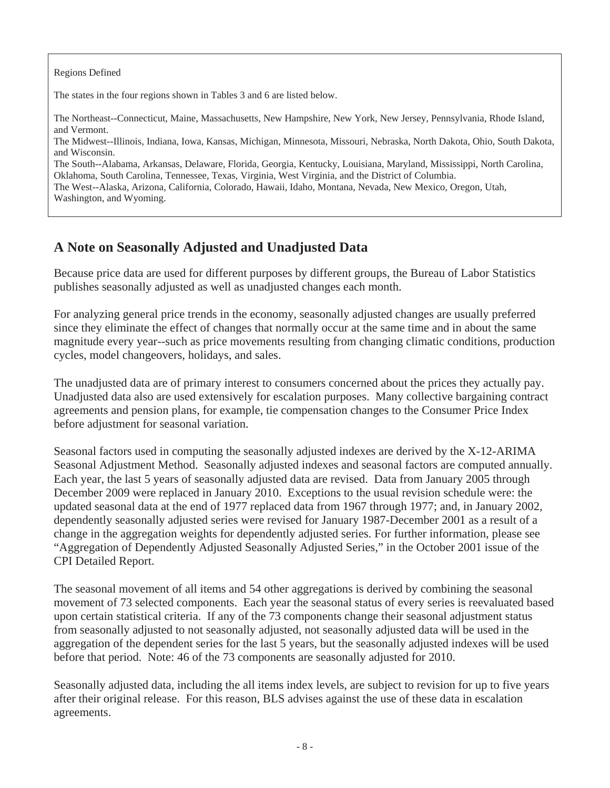Regions Defined

The states in the four regions shown in Tables 3 and 6 are listed below.

The Northeast--Connecticut, Maine, Massachusetts, New Hampshire, New York, New Jersey, Pennsylvania, Rhode Island, and Vermont.

The Midwest--Illinois, Indiana, Iowa, Kansas, Michigan, Minnesota, Missouri, Nebraska, North Dakota, Ohio, South Dakota, and Wisconsin.

The South--Alabama, Arkansas, Delaware, Florida, Georgia, Kentucky, Louisiana, Maryland, Mississippi, North Carolina, Oklahoma, South Carolina, Tennessee, Texas, Virginia, West Virginia, and the District of Columbia.

The West--Alaska, Arizona, California, Colorado, Hawaii, Idaho, Montana, Nevada, New Mexico, Oregon, Utah, Washington, and Wyoming.

# **A Note on Seasonally Adjusted and Unadjusted Data**

Because price data are used for different purposes by different groups, the Bureau of Labor Statistics publishes seasonally adjusted as well as unadjusted changes each month.

For analyzing general price trends in the economy, seasonally adjusted changes are usually preferred since they eliminate the effect of changes that normally occur at the same time and in about the same magnitude every year--such as price movements resulting from changing climatic conditions, production cycles, model changeovers, holidays, and sales.

The unadjusted data are of primary interest to consumers concerned about the prices they actually pay. Unadjusted data also are used extensively for escalation purposes. Many collective bargaining contract agreements and pension plans, for example, tie compensation changes to the Consumer Price Index before adjustment for seasonal variation.

Seasonal factors used in computing the seasonally adjusted indexes are derived by the X-12-ARIMA Seasonal Adjustment Method. Seasonally adjusted indexes and seasonal factors are computed annually. Each year, the last 5 years of seasonally adjusted data are revised. Data from January 2005 through December 2009 were replaced in January 2010. Exceptions to the usual revision schedule were: the updated seasonal data at the end of 1977 replaced data from 1967 through 1977; and, in January 2002, dependently seasonally adjusted series were revised for January 1987-December 2001 as a result of a change in the aggregation weights for dependently adjusted series. For further information, please see "Aggregation of Dependently Adjusted Seasonally Adjusted Series," in the October 2001 issue of the CPI Detailed Report.

The seasonal movement of all items and 54 other aggregations is derived by combining the seasonal movement of 73 selected components. Each year the seasonal status of every series is reevaluated based upon certain statistical criteria. If any of the 73 components change their seasonal adjustment status from seasonally adjusted to not seasonally adjusted, not seasonally adjusted data will be used in the aggregation of the dependent series for the last 5 years, but the seasonally adjusted indexes will be used before that period. Note: 46 of the 73 components are seasonally adjusted for 2010.

Seasonally adjusted data, including the all items index levels, are subject to revision for up to five years after their original release. For this reason, BLS advises against the use of these data in escalation agreements.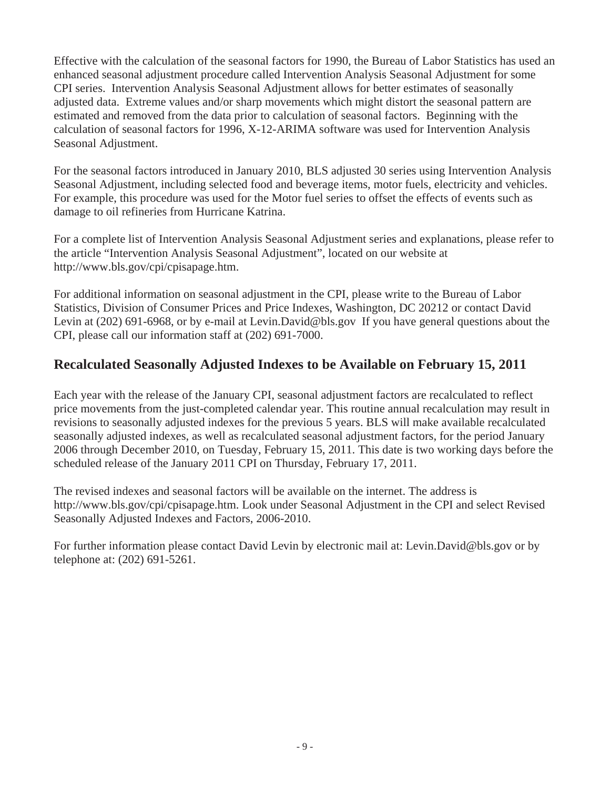Effective with the calculation of the seasonal factors for 1990, the Bureau of Labor Statistics has used an enhanced seasonal adjustment procedure called Intervention Analysis Seasonal Adjustment for some CPI series. Intervention Analysis Seasonal Adjustment allows for better estimates of seasonally adjusted data. Extreme values and/or sharp movements which might distort the seasonal pattern are estimated and removed from the data prior to calculation of seasonal factors. Beginning with the calculation of seasonal factors for 1996, X-12-ARIMA software was used for Intervention Analysis Seasonal Adjustment.

For the seasonal factors introduced in January 2010, BLS adjusted 30 series using Intervention Analysis Seasonal Adjustment, including selected food and beverage items, motor fuels, electricity and vehicles. For example, this procedure was used for the Motor fuel series to offset the effects of events such as damage to oil refineries from Hurricane Katrina.

For a complete list of Intervention Analysis Seasonal Adjustment series and explanations, please refer to the article "Intervention Analysis Seasonal Adjustment", located on our website at http://www.bls.gov/cpi/cpisapage.htm.

For additional information on seasonal adjustment in the CPI, please write to the Bureau of Labor Statistics, Division of Consumer Prices and Price Indexes, Washington, DC 20212 or contact David Levin at (202) 691-6968, or by e-mail at Levin.David@bls.gov If you have general questions about the CPI, please call our information staff at (202) 691-7000.

## **Recalculated Seasonally Adjusted Indexes to be Available on February 15, 2011**

Each year with the release of the January CPI, seasonal adjustment factors are recalculated to reflect price movements from the just-completed calendar year. This routine annual recalculation may result in revisions to seasonally adjusted indexes for the previous 5 years. BLS will make available recalculated seasonally adjusted indexes, as well as recalculated seasonal adjustment factors, for the period January 2006 through December 2010, on Tuesday, February 15, 2011. This date is two working days before the scheduled release of the January 2011 CPI on Thursday, February 17, 2011.

The revised indexes and seasonal factors will be available on the internet. The address is http://www.bls.gov/cpi/cpisapage.htm. Look under Seasonal Adjustment in the CPI and select Revised Seasonally Adjusted Indexes and Factors, 2006-2010.

For further information please contact David Levin by electronic mail at: Levin.David@bls.gov or by telephone at: (202) 691-5261.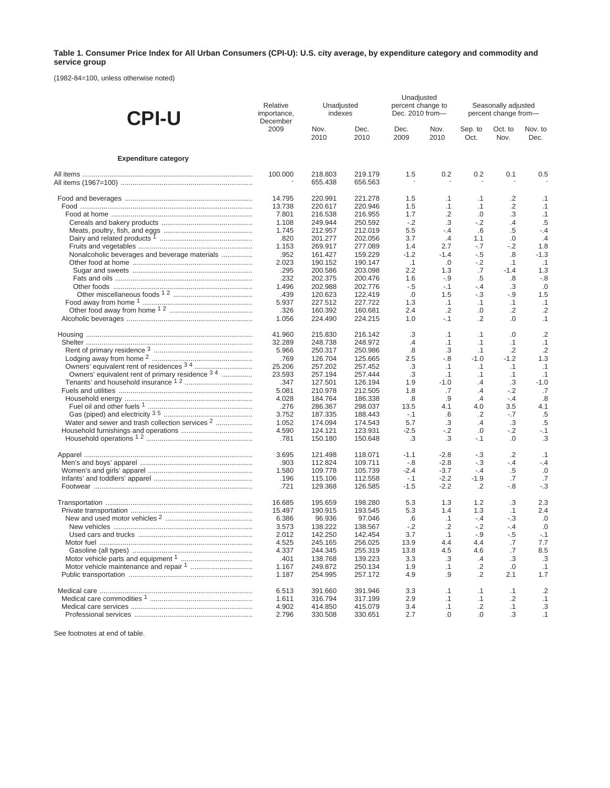#### **Table 1. Consumer Price Index for All Urban Consumers (CPI-U): U.S. city average, by expenditure category and commodity and service group**

(1982-84=100, unless otherwise noted)

| <b>CPI-U</b>                                               | Relative<br>importance,<br>December | Unadjusted<br>indexes |                    | Unadjusted<br>percent change to<br>Dec. 2010 from- |                 | Seasonally adjusted<br>percent change from- |                 |                     |
|------------------------------------------------------------|-------------------------------------|-----------------------|--------------------|----------------------------------------------------|-----------------|---------------------------------------------|-----------------|---------------------|
|                                                            | 2009                                | Nov.<br>2010          | Dec.<br>2010       | Dec.<br>2009                                       | Nov.<br>2010    | Sep. to<br>Oct.                             | Oct. to<br>Nov. | Nov. to<br>Dec.     |
| <b>Expenditure category</b>                                |                                     |                       |                    |                                                    |                 |                                             |                 |                     |
|                                                            | 100.000                             | 218.803               | 219.179            | 1.5                                                | 0.2             | 0.2                                         | 0.1             | 0.5                 |
|                                                            |                                     | 655.438               | 656.563            |                                                    |                 |                                             |                 |                     |
|                                                            | 14.795                              | 220.991               | 221.278            | 1.5                                                | $\cdot$ 1       | $\cdot$ 1                                   | .2              | $\cdot$ 1           |
|                                                            | 13.738                              | 220.617               | 220.946            | 1.5                                                | .1              | .1                                          | .2              | .1                  |
|                                                            | 7.801                               | 216.538               | 216.955            | 1.7                                                | .2              | .0                                          | .3              | .1                  |
|                                                            | 1.108                               | 249.944               | 250.592            | $-.2$                                              | .3              | $-2$                                        | .4              | .5                  |
|                                                            | 1.745                               | 212.957               | 212.019            | 5.5                                                | -.4             | .6                                          | .5              | $-.4$               |
|                                                            | .820                                | 201.277               | 202.056            | 3.7                                                | .4              | 1.1                                         | 0.              | .4                  |
|                                                            | 1.153                               | 269.917               | 277.089            | 1.4                                                | 2.7             | $-.7$                                       | $-2$            | 1.8                 |
| Nonalcoholic beverages and beverage materials              | .952<br>2.023                       | 161.427<br>190.152    | 159.229<br>190.147 | $-1.2$<br>$\cdot$ 1                                | $-1.4$<br>.0    | $-.5$<br>$-.2$                              | .8<br>.1        | $-1.3$<br>$\cdot$ 1 |
|                                                            | .295                                | 200.586               | 203.098            | 2.2                                                | 1.3             | .7                                          | $-1.4$          | 1.3                 |
|                                                            | .232                                | 202.375               | 200.476            | 1.6                                                | $-.9$           | .5                                          | .8              | $-.8$               |
|                                                            | 1.496                               | 202.988               | 202.776            | $-5$                                               | $-.1$           | $-.4$                                       | .3              | .0                  |
|                                                            | .439                                | 120.623               | 122.419            | .0                                                 | 1.5             | $-.3$                                       | $-.9$           | 1.5                 |
|                                                            | 5.937                               | 227.512               | 227.722            | 1.3                                                | $\cdot$ 1       | .1                                          | $\cdot$ 1       | $\cdot$ 1           |
|                                                            | .326                                | 160.392               | 160.681            | 2.4                                                | $.2\phantom{0}$ | .0                                          | $\cdot$ .2      | .2                  |
|                                                            | 1.056                               | 224.490               | 224.215            | 1.0                                                | $-.1$           | .2                                          | 0.              | .1                  |
|                                                            | 41.960                              | 215.830               | 216.142            | .3                                                 | .1              | .1                                          | .0              | .2                  |
|                                                            | 32.289                              | 248.738               | 248.972            | $\cdot$                                            | $\cdot$ 1       | .1                                          | $\cdot$ 1       | .1                  |
|                                                            | 5.966                               | 250.317               | 250.986            | .8                                                 | .3              | .1                                          | $\cdot$         | $\cdot$             |
|                                                            | .769                                | 126.704               | 125.665            | 2.5                                                | $-8$            | $-1.0$                                      | $-1.2$          | 1.3                 |
|                                                            | 25.206                              | 257.202               | 257.452            | .3                                                 | $\cdot$ 1       | .1                                          | $\cdot$ 1       | .1                  |
| Owners' equivalent rent of primary residence 34            | 23.593                              | 257.194               | 257.444            | .3                                                 | $\cdot$ 1       | .1                                          | $\cdot$ 1       | $\cdot$ 1           |
|                                                            | .347<br>5.081                       | 127.501<br>210.978    | 126.194<br>212.505 | 1.9<br>1.8                                         | $-1.0$<br>.7    | .4<br>.4                                    | .3<br>$-2$      | $-1.0$<br>.7        |
|                                                            | 4.028                               | 184.764               | 186.338            | .8                                                 | .9              | .4                                          | $-.4$           | .8                  |
|                                                            | .276                                | 286.367               | 298.037            | 13.5                                               | 4.1             | 4.0                                         | 3.5             | 4.1                 |
|                                                            | 3.752                               | 187.335               | 188.443            | $-.1$                                              | .6              | .2                                          | $-.7$           | .5                  |
| Water and sewer and trash collection services <sup>2</sup> | 1.052                               | 174.094               | 174.543            | 5.7                                                | .3              | .4                                          | .3              | .5                  |
|                                                            | 4.590                               | 124.121               | 123.931            | $-2.5$                                             | $-2$            | .0                                          | $-2$            | $-1$                |
|                                                            | .781                                | 150.180               | 150.648            | .3                                                 | .3              | $-.1$                                       | .0              | .3                  |
|                                                            | 3.695                               | 121.498               | 118.071            | $-1.1$                                             | $-2.8$          | $-.3$                                       | .2              | $\cdot$ 1           |
|                                                            | .903                                | 112.824               | 109.711            | $-.8$                                              | $-2.8$          | $-3$                                        | $-.4$           | $-.4$               |
|                                                            | 1.580                               | 109.778               | 105.739            | $-2.4$                                             | $-3.7$          | $-.4$                                       | .5              | .0                  |
|                                                            | .196                                | 115.106               | 112.558            | $-.1$                                              | $-2.2$          | $-1.9$                                      | .7              | .7                  |
|                                                            | .721                                | 129.368               | 126.585            | $-1.5$                                             | $-2.2$          | $.2\phantom{0}$                             | -.8             | $-.3$               |
|                                                            | 16.685                              | 195.659               | 198.280            | 5.3                                                | 1.3             | 1.2                                         | .3              | 2.3                 |
|                                                            | 15.497                              | 190.915               | 193.545            | 5.3                                                | 1.4             | 1.3                                         | $\cdot$ 1       | 2.4                 |
|                                                            | 6.386                               | 96.936                | 97.046             | .6                                                 | $\cdot$ 1       | $-.4$                                       | $-.3$           | .0                  |
|                                                            | 3.573                               | 138.222               | 138.567            | $-2$                                               | .2              | $-2$                                        | $-.4$           | .0                  |
|                                                            | 2.012                               | 142.250               | 142.454            | 3.7                                                | $\cdot$ 1       | -.9                                         | $-.5$           | $-.1$               |
|                                                            | 4.525<br>4.337                      | 245.165<br>244.345    | 256.025<br>255.319 | 13.9<br>13.8                                       | 4.4<br>4.5      | 4.4<br>4.6                                  | .7<br>.7        | 7.7<br>8.5          |
|                                                            | .401                                | 138.768               | 139.223            | 3.3                                                | .3              | .4                                          | .3              | .3                  |
|                                                            | 1.167                               | 249.872               | 250.134            | 1.9                                                | $\cdot$ 1       | $\cdot$                                     | .0              | .1                  |
|                                                            | 1.187                               | 254.995               | 257.172            | 4.9                                                | .9              | $\cdot$ .2                                  | 2.1             | 1.7                 |
|                                                            | 6.513                               | 391.660               | 391.946            | 3.3                                                | .1              | .1                                          | $\cdot$ 1       | .2                  |
|                                                            | 1.611                               | 316.794               | 317.199            | 2.9                                                | $\cdot$ 1       | .1                                          | .2              | .1                  |
|                                                            | 4.902                               | 414.850               | 415.079            | 3.4                                                | .1              | $\cdot$                                     | .1              | .3                  |
|                                                            | 2.796                               | 330.508               | 330.651            | 2.7                                                | .0              | .0                                          | .3              | $\cdot$ 1           |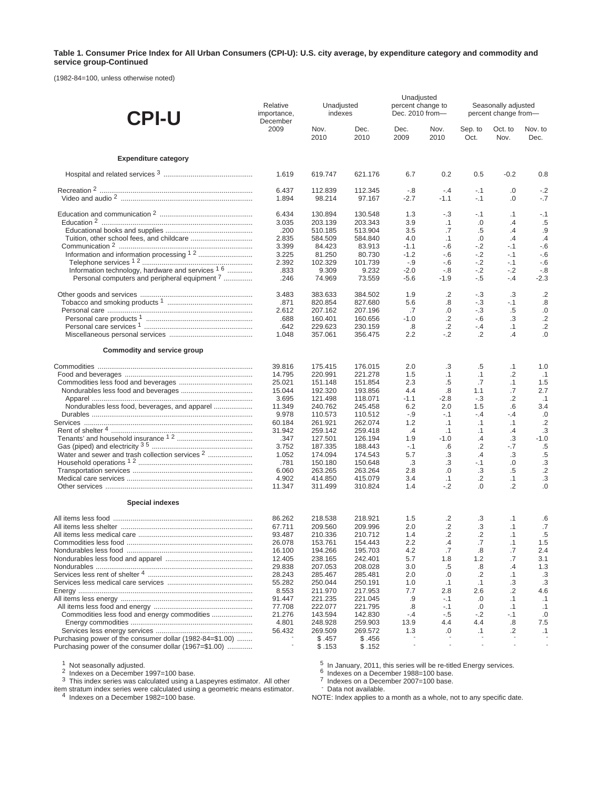#### **Table 1. Consumer Price Index for All Urban Consumers (CPI-U): U.S. city average, by expenditure category and commodity and service group-Continued**

(1982-84=100, unless otherwise noted)

| <b>CPI-U</b>                                               | Relative<br>importance, | Unadjusted<br>indexes<br>December |                    | Unadjusted<br>percent change to<br>Dec. 2010 from- |                 | Seasonally adjusted<br>percent change from- |                 |                 |  |
|------------------------------------------------------------|-------------------------|-----------------------------------|--------------------|----------------------------------------------------|-----------------|---------------------------------------------|-----------------|-----------------|--|
|                                                            | 2009                    | Nov.<br>2010                      | Dec.<br>2010       | Dec.<br>2009                                       | Nov.<br>2010    | Sep. to<br>Oct.                             | Oct. to<br>Nov. | Nov. to<br>Dec. |  |
| <b>Expenditure category</b>                                |                         |                                   |                    |                                                    |                 |                                             |                 |                 |  |
|                                                            | 1.619                   | 619.747                           | 621.176            | 6.7                                                | 0.2             | 0.5                                         | $-0.2$          | 0.8             |  |
|                                                            | 6.437<br>1.894          | 112.839<br>98.214                 | 112.345<br>97.167  | $-8$<br>$-2.7$                                     | $-.4$<br>$-1.1$ | $-.1$<br>$-.1$                              | 0.<br>0.        | $-.2$<br>$-.7$  |  |
|                                                            | 6.434                   | 130.894                           | 130.548            | 1.3                                                | $-3$            | -.1                                         | $\cdot$ 1       | $-.1$           |  |
|                                                            | 3.035                   | 203.139                           | 203.343            | 3.9                                                | .1              | .0                                          | .4              | .5              |  |
|                                                            | .200                    | 510.185                           | 513.904            | 3.5                                                | .7              | $.5\,$                                      | .4              | .9              |  |
|                                                            | 2.835                   | 584.509                           | 584.840            | 4.0                                                | .1              | .0                                          | $\cdot$         | .4              |  |
|                                                            | 3.399                   | 84.423                            | 83.913             | $-1.1$                                             | $-6$            | $-2$                                        | $-.1$           | $-6$            |  |
|                                                            | 3.225                   | 81.250                            | 80.730             | $-1.2$                                             | $-6$            | $-.2$                                       | $-.1$           | $-6$            |  |
|                                                            | 2.392                   | 102.329                           | 101.739            | $-.9$                                              | $-6$            | $-2$                                        | $-.1$           | $-6$            |  |
| Information technology, hardware and services 1 6          | .833                    | 9.309                             | 9.232              | $-2.0$                                             | $-.8$           | $-2$                                        | $-.2$           | $-.8$           |  |
| Personal computers and peripheral equipment <sup>7</sup>   | .246                    | 74.969                            | 73.559             | $-5.6$                                             | $-1.9$          | $-.5$                                       | $-.4$           | $-2.3$          |  |
|                                                            | 3.483<br>.871           | 383.633<br>820.854                | 384.502<br>827.680 | 1.9<br>5.6                                         | .2<br>.8        | $-3$<br>$-.3$                               | .3<br>$-.1$     | $\cdot$<br>.8   |  |
|                                                            | 2.612                   | 207.162                           | 207.196            | .7                                                 | 0.              | $-3$                                        | $.5\,$          | .0              |  |
|                                                            | .688                    | 160.401                           | 160.656            | $-1.0$                                             | .2              | $-6$                                        | .3              | $\cdot$         |  |
|                                                            | .642                    | 229.623                           | 230.159            | .8                                                 | $.2\phantom{0}$ | $-.4$                                       | $\cdot$ 1       | .2              |  |
|                                                            | 1.048                   | 357.061                           | 356.475            | 2.2                                                | $-.2$           | $\cdot$ .2                                  | $\overline{A}$  | .0              |  |
| Commodity and service group                                |                         |                                   |                    |                                                    |                 |                                             |                 |                 |  |
|                                                            | 39.816                  | 175.415                           | 176.015            | 2.0                                                | .3              | .5                                          | $\cdot$ 1       | 1.0             |  |
|                                                            | 14.795                  | 220.991                           | 221.278            | 1.5                                                | .1              | .1                                          | .2              | $\cdot$ 1       |  |
|                                                            | 25.021                  | 151.148                           | 151.854            | 2.3                                                | $.5\,$          | .7                                          | $\cdot$ 1       | 1.5             |  |
|                                                            | 15.044                  | 192.320                           | 193.856            | 4.4                                                | .8              | 1.1                                         | .7              | 2.7             |  |
|                                                            | 3.695                   | 121.498                           | 118.071            | $-1.1$                                             | $-2.8$          | $-.3$                                       | $\cdot$ .2      | $\cdot$ 1       |  |
| Nondurables less food, beverages, and apparel              | 11.349                  | 240.762                           | 245.458            | 6.2                                                | 2.0             | 1.5                                         | .6              | 3.4             |  |
|                                                            | 9.978                   | 110.573                           | 110.512            | $-9$                                               | $-.1$           | $-.4$                                       | $-.4$           | .0              |  |
|                                                            | 60.184                  | 261.921                           | 262.074            | 1.2                                                | .1              | .1                                          | .1              | $.2\phantom{0}$ |  |
|                                                            | 31.942                  | 259.142                           | 259.418            | .4                                                 | .1              | .1                                          | .4              | .3              |  |
|                                                            | .347                    | 127.501                           | 126.194            | 1.9                                                | $-1.0$          | .4                                          | .3              | $-1.0$          |  |
|                                                            | 3.752                   | 187.335                           | 188.443            | $-.1$                                              | .6              | .2                                          | $-.7$           | $.5\,$          |  |
| Water and sewer and trash collection services <sup>2</sup> | 1.052                   | 174.094                           | 174.543            | 5.7                                                | .3              | .4                                          | .3              | .5              |  |
|                                                            | .781                    | 150.180                           | 150.648            | .3                                                 | .3              | $-.1$                                       | 0.              | .3              |  |
|                                                            | 6.060                   | 263.265                           | 263.264            | 2.8                                                | .0              | .3                                          | $.5\,$          | $\cdot$         |  |
|                                                            | 4.902                   | 414.850                           | 415.079            | 3.4                                                | .1              | .2                                          | $\cdot$ 1       | .3              |  |
|                                                            | 11.347                  | 311.499                           | 310.824            | 1.4                                                | $-2$            | .0                                          | $\cdot$         | .0              |  |
| <b>Special indexes</b>                                     |                         |                                   |                    |                                                    |                 |                                             |                 |                 |  |
|                                                            | 86.262                  | 218.538                           | 218.921            | 1.5                                                | .2              | .3                                          | $\cdot$ 1       | .6              |  |
|                                                            | 67.711                  | 209.560                           | 209.996            | 2.0                                                | .2              | .3                                          | $\cdot$ 1       | .7              |  |
|                                                            | 93.487                  | 210.336                           | 210.712            | 1.4                                                | $\cdot$ .2      | $\cdot$                                     | $\cdot$ 1       | $.5\,$          |  |
|                                                            | 26.078                  | 153.761                           | 154.443            | 2.2                                                | .4              | .7                                          | .1              | 1.5             |  |
|                                                            | 16.100                  | 194.266                           | 195.703            | 4.2                                                | .7              | .8                                          | .7              | 2.4             |  |
|                                                            | 12.405                  | 238.165                           | 242.401            | 5.7                                                | 1.8             | 1.2                                         | .7              | 3.1             |  |
|                                                            | 29.838                  | 207.053                           | 208.028            | 3.0                                                | .5              | .8                                          | .4              | 1.3             |  |
|                                                            | 28.243                  | 285.467                           | 285.481            | 2.0                                                | .0              | $\cdot$                                     | $\cdot$ 1       | .3              |  |
|                                                            | 55.282                  | 250.044                           | 250.191            | 1.0                                                | $\cdot$ 1       | $\cdot$ 1                                   | .3              | .3              |  |
|                                                            | 8.553                   | 211.970                           | 217.953            | 7.7                                                | 2.8             | 2.6                                         | .2              | 4.6             |  |
|                                                            | 91.447                  | 221.235                           | 221.045            | .9                                                 | $-.1$           | .0                                          | $\cdot$ 1       | $\cdot$ 1       |  |
|                                                            | 77.708                  | 222.077                           | 221.795            | .8                                                 | $-.1$           | .0                                          | $\cdot$ 1       | $\cdot$ 1       |  |
|                                                            | 21.276                  | 143.594                           | 142.830            | $-.4$                                              | $-5$            | $-2$                                        | $-.1$           | .0              |  |
|                                                            | 4.801                   | 248.928                           | 259.903            | 13.9                                               | 4.4             | 4.4                                         | .8              | 7.5             |  |
|                                                            | 56.432                  | 269.509                           | 269.572            | 1.3                                                | .0              | .1                                          | .2              | .1              |  |
| Purchasing power of the consumer dollar (1982-84=\$1.00)   |                         | \$.457                            | \$.456             |                                                    |                 |                                             |                 |                 |  |
| Purchasing power of the consumer dollar (1967=\$1.00)      |                         | \$.153                            | \$.152             |                                                    |                 |                                             |                 |                 |  |

<sup>1</sup> Not seasonally adjusted.<br><sup>2</sup> Indexes on a December 1997=100 base.<br><sup>3</sup> This index series was calculated using a Laspeyres estimator. All other

item stratum index series were calculated using a geometric means estimator.<br><sup>4</sup> Indexes on a December 1982=100 base.

5 In January, 2011, this series will be re-titled Energy services.<br>
6 Indexes on a December 1988=100 base.<br>
7 Indexes on a December 2007=100 base.<br>
- Data not available.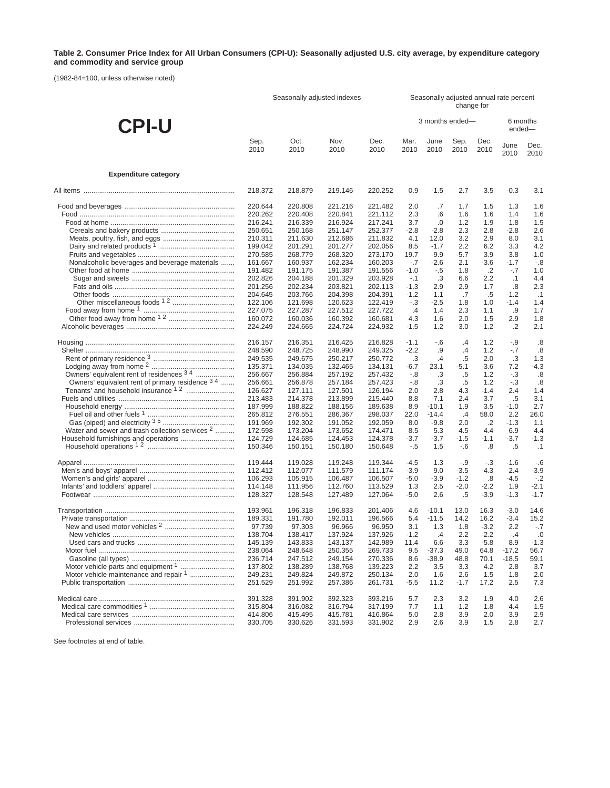#### **Table 2. Consumer Price Index for All Urban Consumers (CPI-U): Seasonally adjusted U.S. city average, by expenditure category and commodity and service group**

(1982-84=100, unless otherwise noted)

|                                                            | Seasonally adjusted indexes |              |              |              | Seasonally adjusted annual rate percent<br>change for |                 |              |                 |                    |              |  |
|------------------------------------------------------------|-----------------------------|--------------|--------------|--------------|-------------------------------------------------------|-----------------|--------------|-----------------|--------------------|--------------|--|
| <b>CPI-U</b>                                               |                             |              |              |              |                                                       | 3 months ended- |              |                 | 6 months<br>ended- |              |  |
|                                                            | Sep.<br>2010                | Oct.<br>2010 | Nov.<br>2010 | Dec.<br>2010 | Mar.<br>2010                                          | June<br>2010    | Sep.<br>2010 | Dec.<br>2010    | June<br>2010       | Dec.<br>2010 |  |
| <b>Expenditure category</b>                                |                             |              |              |              |                                                       |                 |              |                 |                    |              |  |
|                                                            | 218.372                     | 218.879      | 219.146      | 220.252      | 0.9                                                   | $-1.5$          | 2.7          | 3.5             | $-0.3$             | 3.1          |  |
|                                                            | 220.644                     | 220.808      | 221.216      | 221.482      | 2.0                                                   | .7              | 1.7          | 1.5             | 1.3                | 1.6          |  |
|                                                            | 220.262                     | 220.408      | 220.841      | 221.112      | 2.3                                                   | .6              | 1.6          | 1.6             | 1.4                | 1.6          |  |
|                                                            | 216.241                     | 216.339      | 216.924      | 217.241      | 3.7                                                   | .0              | 1.2          | 1.9             | 1.8                | 1.5          |  |
|                                                            | 250.651                     | 250.168      | 251.147      | 252.377      | $-2.8$                                                | $-2.8$          | 2.3          | 2.8             | $-2.8$             | 2.6          |  |
|                                                            | 210.311                     | 211.630      | 212.686      | 211.832      | 4.1                                                   | 12.0            | 3.2          | 2.9             | 8.0                | 3.1          |  |
|                                                            | 199.042                     | 201.291      | 201.277      | 202.056      | 8.5                                                   | $-1.7$          | 2.2          | 6.2             | 3.3                | 4.2          |  |
|                                                            | 270.585                     | 268.779      | 268.320      | 273.170      | 19.7                                                  | $-9.9$          | -5.7         | 3.9             | 3.8                | $-1.0$       |  |
| Nonalcoholic beverages and beverage materials              | 161.667                     | 160.937      | 162.234      | 160.203      | $-.7$                                                 | $-2.6$          | 2.1          | $-3.6$          | $-1.7$             | $-.8$        |  |
|                                                            | 191.482                     | 191.175      | 191.387      | 191.556      | $-1.0$                                                | $-.5$           | 1.8          | $.2\phantom{0}$ | $-.7$              | 1.0          |  |
|                                                            | 202.826                     | 204.188      | 201.329      | 203.928      | $-.1$                                                 | .3              | 6.6          | 2.2             | $\cdot$ 1          | 4.4          |  |
|                                                            | 201.256                     | 202.234      | 203.821      | 202.113      | $-1.3$                                                | 2.9             | 2.9          | 1.7             | .8                 | 2.3          |  |
|                                                            | 204.645                     | 203.766      | 204.398      | 204.391      | $-1.2$                                                | $-1.1$          | .7           | $-.5$           | $-1.2$             | $\cdot$ 1    |  |
|                                                            | 122.106                     | 121.698      | 120.623      | 122.419      | $-.3$                                                 | $-2.5$          | 1.8          | 1.0             | $-1.4$             | 1.4          |  |
|                                                            | 227.075                     | 227.287      | 227.512      | 227.722      | $\cdot$                                               | 1.4             | 2.3          | 1.1             | .9                 | 1.7          |  |
|                                                            | 160.072                     | 160.036      | 160.392      | 160.681      | 4.3                                                   | 1.6             | 2.0          | 1.5             | 2.9                | 1.8          |  |
|                                                            | 224.249                     | 224.665      | 224.724      | 224.932      | $-1.5$                                                | 1.2             | 3.0          | 1.2             | $-.2$              | 2.1          |  |
|                                                            | 216.157                     | 216.351      | 216.425      | 216.828      | $-1.1$                                                | $-6$            | .4           | 1.2             | $-.9$              | .8           |  |
|                                                            | 248.590                     | 248.725      | 248.990      | 249.325      | $-2.2$                                                | .9              | $\cdot$      | 1.2             | $-.7$              | .8           |  |
|                                                            | 249.535                     | 249.675      | 250.217      | 250.772      | .3                                                    | $\cdot$         | .5           | 2.0             | .3                 | 1.3          |  |
|                                                            | 135.371                     | 134.035      | 132.465      | 134.131      | $-6.7$                                                | 23.1            | -5.1         | $-3.6$          | 7.2                | $-4.3$       |  |
|                                                            | 256.667                     | 256.884      | 257.192      | 257.432      | $-.8$                                                 | .3              | .5           | 1.2             | $-.3$              | .8           |  |
| Owners' equivalent rent of primary residence 34            | 256.661                     | 256.878      | 257.184      | 257.423      | $-8$                                                  | .3              | .5           | 1.2             | $-3$               | .8           |  |
|                                                            | 126.627                     | 127.111      | 127.501      | 126.194      | 2.0                                                   | 2.8             | 4.3          | $-1.4$          | 2.4                | 1.4          |  |
|                                                            | 213.483                     | 214.378      | 213.899      | 215.440      | 8.8                                                   | $-7.1$          | 2.4          | 3.7             | .5                 | 3.1          |  |
|                                                            | 187.999                     | 188.822      | 188.156      | 189.638      | 8.9                                                   | $-10.1$         | 1.9          | 3.5             | $-1.0$             | 2.7          |  |
|                                                            | 265.812                     | 276.551      | 286.367      | 298.037      | 22.0                                                  | $-14.4$         | $\cdot$      | 58.0            | 2.2                | 26.0         |  |
|                                                            | 191.969                     | 192.302      | 191.052      | 192.059      | 8.0                                                   | $-9.8$          | 2.0          | $.2\phantom{0}$ | $-1.3$             | 1.1          |  |
| Water and sewer and trash collection services <sup>2</sup> | 172.598                     | 173.204      | 173.652      | 174.471      | 8.5                                                   | 5.3             | 4.5          | 4.4             | 6.9                | 4.4          |  |
| Household furnishings and operations                       | 124.729                     | 124.685      | 124.453      | 124.378      | $-3.7$                                                | $-3.7$          | -1.5         | $-1.1$          | $-3.7$             | $-1.3$       |  |
|                                                            | 150.346                     | 150.151      | 150.180      | 150.648      | $-.5$                                                 | 1.5             | $-6$         | .8              | .5                 | .1           |  |
|                                                            | 119.444                     | 119.028      | 119.248      | 119.344      | $-4.5$                                                | 1.3             | $-.9$        | $-.3$           | $-1.6$             | $-6$         |  |
|                                                            | 112.412                     | 112.077      | 111.579      | 111.174      | $-3.9$                                                | 9.0             | $-3.5$       | $-4.3$          | 2.4                | $-3.9$       |  |
|                                                            | 106.293                     | 105.915      | 106.487      | 106.507      | $-5.0$                                                | $-3.9$          | $-1.2$       | .8              | $-4.5$             | $-.2$        |  |
|                                                            | 114.148                     | 111.956      | 112.760      | 113.529      | 1.3                                                   | 2.5             | $-2.0$       | $-2.2$          | 1.9                | $-2.1$       |  |
|                                                            | 128.327                     | 128.548      | 127.489      | 127.064      | $-5.0$                                                | 2.6             | .5           | $-3.9$          | $-1.3$             | $-1.7$       |  |
|                                                            | 193.961                     | 196.318      | 196.833      | 201.406      | 4.6                                                   | $-10.1$         | 13.0         | 16.3            | $-3.0$             | 14.6         |  |
|                                                            | 189.331                     | 191.780      | 192.011      | 196.566      | 5.4                                                   | $-11.5$         | 14.2         | 16.2            | $-3.4$             | 15.2         |  |
|                                                            | 97.739                      | 97.303       | 96.966       | 96.950       | 3.1                                                   | 1.3             | 1.8          | $-3.2$          | 2.2                | $-.7$        |  |
|                                                            | 138.704                     | 138.417      | 137.924      | 137.926      | $-1.2$                                                | .4              | 2.2          | $-2.2$          | $-.4$              | .0           |  |
|                                                            | 145.139                     | 143.833      | 143.137      | 142.989      | 11.4                                                  | 6.6             | 3.3          | $-5.8$          | 8.9                | $-1.3$       |  |
|                                                            | 238.064                     | 248.648      | 250.355      | 269.733      | 9.5                                                   | $-37.3$         | 49.0         | 64.8            | $-17.2$            | 56.7         |  |
|                                                            | 236.714                     | 247.512      | 249.154      | 270.336      | 8.6                                                   | $-38.9$         | 48.8         | 70.1            | $-18.5$            | 59.1         |  |
|                                                            | 137.802                     | 138.289      | 138.768      | 139.223      | 2.2                                                   | 3.5             | 3.3          | 4.2             | 2.8                | 3.7          |  |
| Motor vehicle maintenance and repair 1                     | 249.231                     | 249.824      | 249.872      | 250.134      | 2.0                                                   | 1.6             | 2.6          | 1.5             | 1.8                | 2.0          |  |
|                                                            | 251.529                     | 251.992      | 257.386      | 261.731      | $-5.5$                                                | 11.2            | $-1.7$       | 17.2            | 2.5                | 7.3          |  |
|                                                            | 391.328                     | 391.902      | 392.323      | 393.216      | 5.7                                                   | 2.3             | 3.2          | 1.9             | 4.0                | 2.6          |  |
|                                                            | 315.804                     | 316.082      | 316.794      | 317.199      | 7.7                                                   | 1.1             | 1.2          | 1.8             | 4.4                | 1.5          |  |
|                                                            | 414.806                     | 415.495      | 415.781      | 416.864      | 5.0                                                   | 2.8             | 3.9          | 2.0             | 3.9                | 2.9          |  |
|                                                            | 330.705                     | 330.626      | 331.593      | 331.902      | 2.9                                                   | 2.6             | 3.9          | 1.5             | 2.8                | 2.7          |  |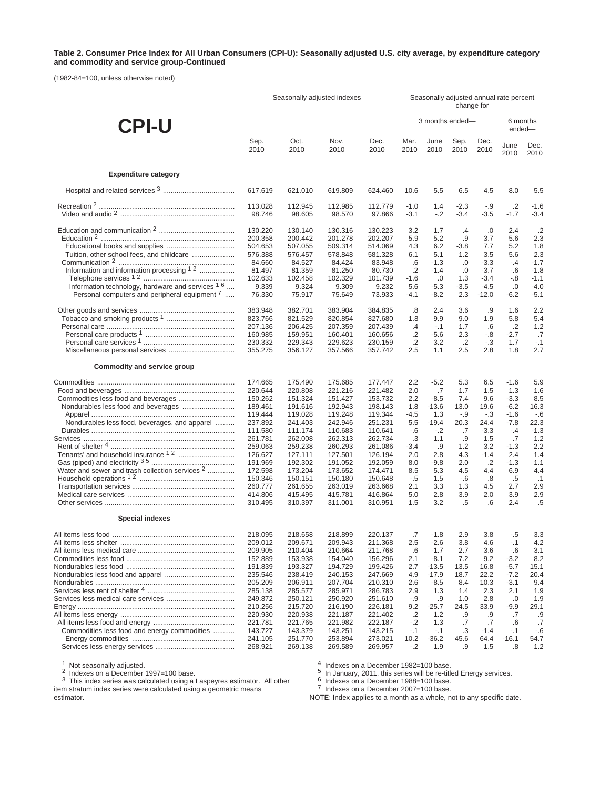#### **Table 2. Consumer Price Index for All Urban Consumers (CPI-U): Seasonally adjusted U.S. city average, by expenditure category and commodity and service group-Continued**

(1982-84=100, unless otherwise noted)

|                                                                                                                                                                                              | Seasonally adjusted indexes                                                                                                                                                  |                                                                                                                                                                              |                                                                                                                                                                              |                                                                                                                                                                              | Seasonally adjusted annual rate percent<br>change for                                                                |                                                                                                                                     |                                                                                                                |                                                                                                                                  |                                                                                                                                   |                                                                                                                           |  |
|----------------------------------------------------------------------------------------------------------------------------------------------------------------------------------------------|------------------------------------------------------------------------------------------------------------------------------------------------------------------------------|------------------------------------------------------------------------------------------------------------------------------------------------------------------------------|------------------------------------------------------------------------------------------------------------------------------------------------------------------------------|------------------------------------------------------------------------------------------------------------------------------------------------------------------------------|----------------------------------------------------------------------------------------------------------------------|-------------------------------------------------------------------------------------------------------------------------------------|----------------------------------------------------------------------------------------------------------------|----------------------------------------------------------------------------------------------------------------------------------|-----------------------------------------------------------------------------------------------------------------------------------|---------------------------------------------------------------------------------------------------------------------------|--|
| <b>CPI-U</b>                                                                                                                                                                                 |                                                                                                                                                                              |                                                                                                                                                                              |                                                                                                                                                                              |                                                                                                                                                                              |                                                                                                                      | 3 months ended-                                                                                                                     |                                                                                                                |                                                                                                                                  | 6 months<br>ended-                                                                                                                |                                                                                                                           |  |
|                                                                                                                                                                                              | Sep.<br>2010                                                                                                                                                                 | Oct.<br>2010                                                                                                                                                                 | Nov.<br>2010                                                                                                                                                                 | Dec.<br>2010                                                                                                                                                                 | Mar.<br>2010                                                                                                         | June<br>2010                                                                                                                        | Sep.<br>2010                                                                                                   | Dec.<br>2010                                                                                                                     | June<br>2010                                                                                                                      | Dec.<br>2010                                                                                                              |  |
| <b>Expenditure category</b>                                                                                                                                                                  |                                                                                                                                                                              |                                                                                                                                                                              |                                                                                                                                                                              |                                                                                                                                                                              |                                                                                                                      |                                                                                                                                     |                                                                                                                |                                                                                                                                  |                                                                                                                                   |                                                                                                                           |  |
|                                                                                                                                                                                              | 617.619                                                                                                                                                                      | 621.010                                                                                                                                                                      | 619.809                                                                                                                                                                      | 624.460                                                                                                                                                                      | 10.6                                                                                                                 | 5.5                                                                                                                                 | 6.5                                                                                                            | 4.5                                                                                                                              | 8.0                                                                                                                               | 5.5                                                                                                                       |  |
|                                                                                                                                                                                              | 113.028<br>98.746                                                                                                                                                            | 112.945<br>98.605                                                                                                                                                            | 112.985<br>98.570                                                                                                                                                            | 112.779<br>97.866                                                                                                                                                            | $-1.0$<br>$-3.1$                                                                                                     | 1.4<br>$-2$                                                                                                                         | $-2.3$<br>$-3.4$                                                                                               | $-.9$<br>$-3.5$                                                                                                                  | $.2\phantom{0}$<br>$-1.7$                                                                                                         | $-1.6$<br>$-3.4$                                                                                                          |  |
| Tuition, other school fees, and childcare<br>Information and information processing 12<br>Information technology, hardware and services 1 6<br>Personal computers and peripheral equipment 7 | 130.220<br>200.358<br>504.653<br>576.388<br>84.660<br>81.497<br>102.633<br>9.339<br>76.330                                                                                   | 130.140<br>200.442<br>507.055<br>576.457<br>84.527<br>81.359<br>102.458<br>9.324<br>75.917                                                                                   | 130.316<br>201.278<br>509.314<br>578.848<br>84.424<br>81.250<br>102.329<br>9.309<br>75.649                                                                                   | 130.223<br>202.207<br>514.069<br>581.328<br>83.948<br>80.730<br>101.739<br>9.232<br>73.933                                                                                   | 3.2<br>5.9<br>4.3<br>6.1<br>.6<br>$\cdot$<br>$-1.6$<br>5.6<br>$-4.1$                                                 | 1.7<br>5.2<br>6.2<br>5.1<br>$-1.3$<br>$-1.4$<br>.0<br>$-5.3$<br>$-8.2$                                                              | $\cdot$<br>.9<br>$-3.8$<br>1.2<br>.0<br>.0<br>1.3<br>$-3.5$<br>2.3                                             | .0<br>3.7<br>7.7<br>3.5<br>$-3.3$<br>$-3.7$<br>$-3.4$<br>$-4.5$<br>$-12.0$                                                       | 2.4<br>5.6<br>5.2<br>5.6<br>$-.4$<br>$-6$<br>$-.8$<br>.0<br>$-6.2$                                                                | $.2\phantom{0}$<br>2.3<br>1.8<br>2.3<br>$-1.7$<br>$-1.8$<br>$-1.1$<br>$-4.0$<br>$-5.1$                                    |  |
|                                                                                                                                                                                              | 383.948<br>823.766<br>207.136<br>160.985<br>230.332<br>355.275                                                                                                               | 382.701<br>821.529<br>206.425<br>159.951<br>229.343<br>356.127                                                                                                               | 383.904<br>820.854<br>207.359<br>160.401<br>229.623<br>357.566                                                                                                               | 384.835<br>827.680<br>207.439<br>160.656<br>230.159<br>357.742                                                                                                               | .8<br>1.8<br>$\cdot$<br>$\cdot$<br>$\cdot$<br>2.5                                                                    | 2.4<br>9.9<br>$-.1$<br>$-5.6$<br>3.2<br>1.1                                                                                         | 3.6<br>9.0<br>1.7<br>2.3<br>$.2\,$<br>2.5                                                                      | .9<br>1.9<br>.6<br>$-8$<br>$-.3$<br>2.8                                                                                          | 1.6<br>5.8<br>.2<br>$-2.7$<br>1.7<br>1.8                                                                                          | 2.2<br>5.4<br>1.2<br>.7<br>$-.1$<br>2.7                                                                                   |  |
| Commodity and service group                                                                                                                                                                  |                                                                                                                                                                              |                                                                                                                                                                              |                                                                                                                                                                              |                                                                                                                                                                              |                                                                                                                      |                                                                                                                                     |                                                                                                                |                                                                                                                                  |                                                                                                                                   |                                                                                                                           |  |
| Nondurables less food, beverages, and apparel<br>Water and sewer and trash collection services <sup>2</sup><br><b>Special indexes</b>                                                        | 174.665<br>220.644<br>150.262<br>189.461<br>119.444<br>237.892<br>111.580<br>261.781<br>259.063<br>126.627<br>191.969<br>172.598<br>150.346<br>260.777<br>414.806<br>310.495 | 175.490<br>220.808<br>151.324<br>191.616<br>119.028<br>241.403<br>111.174<br>262.008<br>259.238<br>127.111<br>192.302<br>173.204<br>150.151<br>261.655<br>415.495<br>310.397 | 175.685<br>221.216<br>151.427<br>192.943<br>119.248<br>242.946<br>110.683<br>262.313<br>260.293<br>127.501<br>191.052<br>173.652<br>150.180<br>263.019<br>415.781<br>311.001 | 177.447<br>221.482<br>153.732<br>198.143<br>119.344<br>251.231<br>110.641<br>262.734<br>261.086<br>126.194<br>192.059<br>174.471<br>150.648<br>263.668<br>416.864<br>310.951 | 2.2<br>2.0<br>2.2<br>1.8<br>$-4.5$<br>5.5<br>$-6$<br>.3<br>$-3.4$<br>2.0<br>8.0<br>8.5<br>$-.5$<br>2.1<br>5.0<br>1.5 | $-5.2$<br>.7<br>$-8.5$<br>$-13.6$<br>1.3<br>$-19.4$<br>$-.2$<br>1.1<br>.9<br>2.8<br>$-9.8$<br>5.3<br>1.5<br>3.3<br>2.8<br>3.2       | 5.3<br>1.7<br>7.4<br>13.0<br>$-.9$<br>20.3<br>.7<br>.9<br>1.2<br>4.3<br>2.0<br>4.5<br>$-6$<br>1.3<br>3.9<br>.5 | 6.5<br>1.5<br>9.6<br>19.6<br>$-.3$<br>24.4<br>$-3.3$<br>1.5<br>3.2<br>$-1.4$<br>$.2\phantom{0}$<br>4.4<br>.8<br>4.5<br>2.0<br>.6 | $-1.6$<br>1.3<br>$-3.3$<br>$-6.2$<br>$-1.6$<br>$-7.8$<br>$-.4$<br>.7<br>$-1.3$<br>2.4<br>$-1.3$<br>6.9<br>.5<br>2.7<br>3.9<br>2.4 | 5.9<br>1.6<br>8.5<br>16.3<br>$-.6$<br>22.3<br>$-1.3$<br>1.2<br>2.2<br>1.4<br>1.1<br>4.4<br>$\cdot$ .1<br>2.9<br>2.9<br>.5 |  |
| All items less food<br>Commodities less food and energy commodities                                                                                                                          | 218.095<br>209.012<br>209.905<br>152.889<br>191.839<br>235.546<br>205.209<br>285.138<br>249.872<br>210.256<br>220.930<br>221.781<br>143.727<br>241.105<br>268.921            | 218 658<br>209.671<br>210.404<br>153.938<br>193.327<br>238.419<br>206.911<br>285.577<br>250.121<br>215.720<br>220.938<br>221.765<br>143.379<br>251.770<br>269.138            | 218.899<br>209.943<br>210.664<br>154.040<br>194.729<br>240.153<br>207.704<br>285.971<br>250.920<br>216.190<br>221.187<br>221.982<br>143.251<br>253.894<br>269.589            | 220.137<br>211.368<br>211.768<br>156.296<br>199.426<br>247.669<br>210.310<br>286.783<br>251.610<br>226.181<br>221.402<br>222.187<br>143.215<br>273.021<br>269.957            | .7<br>2.5<br>.6<br>2.1<br>2.7<br>4.9<br>2.6<br>2.9<br>$-.9$<br>9.2<br>$.2\,$<br>$-.2$<br>$-.1$<br>10.2<br>$-.2$      | -1.8<br>$-2.6$<br>$-1.7$<br>$-8.1$<br>$-13.5$<br>$-17.9$<br>$-8.5$<br>1.3<br>.9<br>$-25.7$<br>1.2<br>1.3<br>$-.1$<br>$-36.2$<br>1.9 | 2.9<br>3.8<br>2.7<br>7.2<br>13.5<br>18.7<br>8.4<br>1.4<br>1.0<br>24.5<br>.9<br>.7<br>.3<br>45.6<br>.9          | 3.8<br>4.6<br>3.6<br>9.2<br>16.8<br>22.2<br>10.3<br>2.3<br>2.8<br>33.9<br>.9<br>.7<br>$-1.4$<br>64.4<br>1.5                      | $-.5$<br>$-.1$<br>$-6$<br>$-3.2$<br>$-5.7$<br>$-7.2$<br>$-3.1$<br>2.1<br>.0<br>$-9.9$<br>.7<br>.6<br>$-.1$<br>$-16.1$<br>.8       | 3.3<br>4.2<br>3.1<br>8.2<br>15.1<br>20.4<br>9.4<br>1.9<br>1.9<br>29.1<br>.9<br>.7<br>$-.6$<br>54.7<br>1.2                 |  |

<sup>1</sup> Not seasonally adjusted.<br><sup>2</sup> Indexes on a December 1997=100 base.<br><sup>3</sup> This index series was calculated using a Laspeyres estimator. All other item stratum index series were calculated using a geometric means estimator.

4 Indexes on a December 1982=100 base.<br>5 In January, 2011, this series will be re-titled Energy services.<br>6 Indexes on a December 1988=100 base.<br>7 Indexes on a December 2007=100 base.<br> $\frac{7}{100}$  and the service on a prob NOTE: Index applies to a month as a whole, not to any specific date.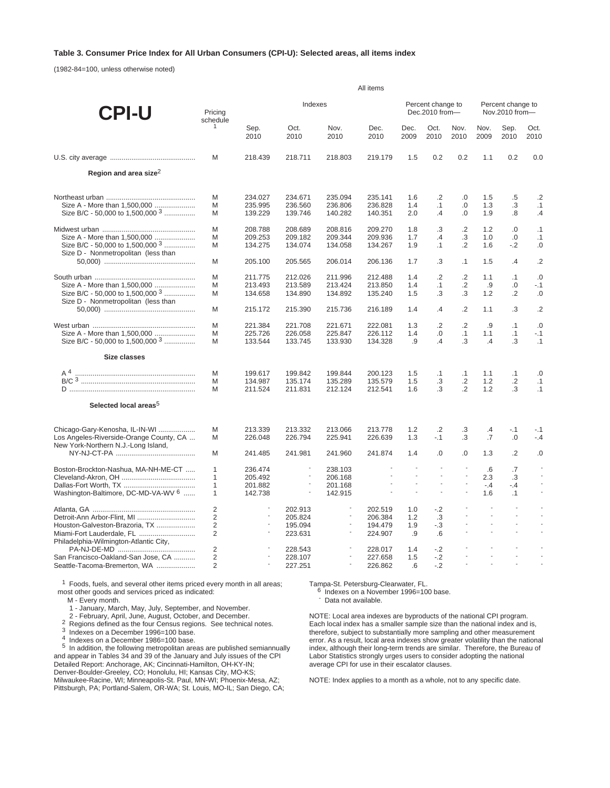### **Table 3. Consumer Price Index for All Urban Consumers (CPI-U): Selected areas, all items index**

(1982-84=100, unless otherwise noted)

|                                                                                                                    | All items                    |                          |                               |                                                      |                    |                |                                     |                          |                                            |                    |               |  |
|--------------------------------------------------------------------------------------------------------------------|------------------------------|--------------------------|-------------------------------|------------------------------------------------------|--------------------|----------------|-------------------------------------|--------------------------|--------------------------------------------|--------------------|---------------|--|
| <b>CPI-U</b>                                                                                                       | Pricina                      |                          | Indexes                       |                                                      |                    |                | Percent change to<br>Dec.2010 from- |                          | Percent change to<br>Nov.2010 from-        |                    |               |  |
|                                                                                                                    | schedule<br>$\mathbf{1}$     | Sep.<br>2010             | Oct.<br>2010                  | Nov.<br>2010                                         | Dec.<br>2010       | Dec.<br>2009   | Oct.<br>2010                        | Nov.<br>2010             | Nov.<br>2009                               | Sep.<br>2010       | Oct.<br>2010  |  |
|                                                                                                                    | M                            | 218.439                  | 218.711                       | 218.803                                              | 219.179            | 1.5            | 0.2                                 | 0.2                      | 1.1                                        | 0.2                | 0.0           |  |
| Region and area size <sup>2</sup>                                                                                  |                              |                          |                               |                                                      |                    |                |                                     |                          |                                            |                    |               |  |
|                                                                                                                    | M                            | 234.027                  | 234.671                       | 235.094                                              | 235.141            | 1.6            | .2                                  | .0                       | 1.5                                        | .5                 | .2            |  |
| Size A - More than 1,500,000<br>Size B/C - 50,000 to 1,500,000 3                                                   | M<br>M                       | 235.995<br>139.229       | 236.560<br>139.746            | 236.806<br>140.282                                   | 236.828<br>140.351 | 1.4<br>2.0     | $\cdot$ 1<br>.4                     | .0<br>0.                 | 1.3<br>1.9                                 | .3<br>.8           | .1<br>$\cdot$ |  |
|                                                                                                                    | M                            | 208.788                  | 208.689                       | 208.816                                              | 209.270            | 1.8            | .3                                  | $\cdot$ .2<br>.3         | 1.2                                        | .0                 | .1            |  |
| Size A - More than 1,500,000<br>Size B/C - 50,000 to 1,500,000 <sup>3</sup><br>Size D - Nonmetropolitan (less than | M<br>M                       | 209.253<br>134.275       | 209.182<br>134.074            | 209.344<br>134.058                                   | 209.936<br>134.267 | 1.7<br>1.9     | .4<br>$\cdot$ 1                     | $\overline{2}$           | 1.0<br>1.6                                 | .0<br>$-2$         | .1<br>.0      |  |
|                                                                                                                    | M                            | 205.100                  | 205.565                       | 206.014                                              | 206.136            | 1.7            | .3                                  | $\cdot$ 1                | 1.5                                        | .4                 | $\cdot$ .2    |  |
|                                                                                                                    | M                            | 211.775                  | 212.026                       | 211.996                                              | 212.488            | 1.4            | $.2\phantom{0}$                     | $\cdot$ .2               | 1.1                                        | $\cdot$ 1          | .0            |  |
| Size A - More than 1,500,000                                                                                       | M                            | 213.493                  | 213.589                       | 213.424                                              | 213.850            | 1.4            | $\cdot$ 1                           | $\cdot$                  | .9                                         | 0.0                | $-.1$         |  |
| Size B/C - 50,000 to 1,500,000 3<br>Size D - Nonmetropolitan (less than                                            | M                            | 134.658                  | 134.890                       | 134.892                                              | 135.240            | 1.5            | .3                                  | .3                       | 1.2                                        | $\cdot$ .2         | .0            |  |
|                                                                                                                    | M                            | 215.172                  | 215.390                       | 215.736                                              | 216.189            | 1.4            | .4                                  | $\cdot$ .2               | 1.1                                        | .3                 | .2            |  |
|                                                                                                                    | M                            | 221.384                  | 221.708                       | 221.671                                              | 222.081            | 1.3            | $\cdot$                             | $\cdot$                  | .9                                         | .1                 | .0            |  |
| Size A - More than 1,500,000<br>Size B/C - 50,000 to 1,500,000 3                                                   | M<br>M                       | 225.726<br>133.544       | 226.058<br>133.745            | 225.847<br>133.930                                   | 226.112<br>134.328 | 1.4<br>.9      | .0<br>$\overline{A}$                | $\cdot$ 1<br>.3          | 1.1<br>.4                                  | $\cdot$ 1<br>.3    | $-.1$<br>.1   |  |
| <b>Size classes</b>                                                                                                |                              |                          |                               |                                                      |                    |                |                                     |                          |                                            |                    |               |  |
| $A^4$                                                                                                              | M                            | 199.617                  | 199.842                       | 199.844                                              | 200.123            | 1.5            | $\cdot$ 1                           | $\cdot$ 1                | 1.1                                        | $\cdot$ 1          | .0            |  |
|                                                                                                                    | M                            | 134.987                  | 135.174                       | 135.289                                              | 135.579            | 1.5            | .3                                  | $\cdot$ .2               | 1.2                                        | $\cdot$ .2         | .1            |  |
|                                                                                                                    | M                            | 211.524                  | 211.831                       | 212.124                                              | 212.541            | 1.6            | .3                                  | $\cdot$ .2               | 1.2                                        | .3                 | .1            |  |
| Selected local areas <sup>5</sup>                                                                                  |                              |                          |                               |                                                      |                    |                |                                     |                          |                                            |                    |               |  |
| Chicago-Gary-Kenosha, IL-IN-WI                                                                                     | M                            | 213.339                  | 213.332                       | 213.066                                              | 213.778            | 1.2            | $.2\phantom{0}$                     | .3                       | .4                                         | $-.1$              | $-.1$         |  |
| Los Angeles-Riverside-Orange County, CA<br>New York-Northern N.J.-Long Island,                                     | M                            | 226.048                  | 226.794                       | 225.941                                              | 226.639            | 1.3            | $-1$                                | .3                       | .7                                         | .0                 | $-.4$         |  |
|                                                                                                                    | M                            | 241.485                  | 241.981                       | 241.960                                              | 241.874            | 1.4            | .0                                  | .0                       | 1.3                                        | $.2\phantom{0}$    | .0            |  |
| Boston-Brockton-Nashua, MA-NH-ME-CT                                                                                | $\mathbf{1}$                 | 236.474                  | $\overline{\phantom{a}}$      | 238.103                                              |                    |                | $\overline{\phantom{a}}$            | $\overline{\phantom{a}}$ | .6                                         | .7                 |               |  |
|                                                                                                                    | 1                            | 205.492                  | $\overline{\phantom{a}}$<br>٠ | 206.168                                              |                    | ÷<br>÷,        | ÷<br>÷,                             | ÷<br>÷,                  | 2.3                                        | .3                 |               |  |
| Washington-Baltimore, DC-MD-VA-WV 6                                                                                | $\mathbf{1}$<br>$\mathbf{1}$ | 201.882<br>142.738       | $\overline{\phantom{a}}$      | 201.168<br>142.915                                   | ÷.                 | $\overline{a}$ | $\overline{\phantom{a}}$            | $\overline{\phantom{a}}$ | $-.4$<br>1.6                               | $-.4$<br>$\cdot$ 1 | $\sim$        |  |
|                                                                                                                    | 2                            |                          | 202.913                       | $\overline{\phantom{a}}$                             | 202.519            | 1.0            | $-2$                                |                          | $\mathcal{L}$                              | $\overline{a}$     |               |  |
| Detroit-Ann Arbor-Flint, MI                                                                                        | $\overline{2}$               | $\overline{\phantom{a}}$ | 205.824                       | $\overline{\phantom{a}}$                             | 206.384            | 1.2            | .3                                  | ÷                        | $\overline{a}$<br>$\overline{\phantom{a}}$ | $\overline{a}$     |               |  |
| Houston-Galveston-Brazoria, TX                                                                                     | 2                            |                          | 195.094                       | $\overline{\phantom{a}}$<br>$\overline{\phantom{a}}$ | 194.479            | 1.9            | $-3$                                |                          |                                            |                    |               |  |
| Miami-Fort Lauderdale, FL<br>Philadelphia-Wilmington-Atlantic City,                                                | $\overline{2}$               |                          | 223.631                       |                                                      | 224.907            | .9             | .6                                  |                          |                                            |                    |               |  |
| San Francisco-Oakland-San Jose, CA                                                                                 | 2<br>2                       |                          | 228.543<br>228.107            | $\overline{a}$                                       | 228.017<br>227.658 | 1.4<br>1.5     | $-.2$<br>$-2$                       | $\overline{a}$           | $\sim$                                     | $\overline{a}$     |               |  |
| Seattle-Tacoma-Bremerton, WA                                                                                       | 2                            |                          | 227.251                       | $\overline{\phantom{a}}$                             | 226.862            | .6             | $-.2$                               |                          | $\overline{a}$                             | $\overline{a}$     |               |  |

<sup>1</sup> Foods, fuels, and several other items priced every month in all areas; most other goods and services priced as indicated:

M - Every month.

1 - January, March, May, July, September, and November.

2<br>
Regions defined as the four Census regions. See technical notes.<br>
<sup>3</sup> Indexes on a December 1996=100 base.<br>
<sup>4</sup> Indexes on a December 1986=100 base.<br>
<sup>5</sup> In addition, the following metropolitan areas are published semia and appear in Tables 34 and 39 of the January and July issues of the CPI Detailed Report: Anchorage, AK; Cincinnati-Hamilton, OH-KY-IN; Denver-Boulder-Greeley, CO; Honolulu, HI; Kansas City, MO-KS; Milwaukee-Racine, WI; Minneapolis-St. Paul, MN-WI; Phoenix-Mesa, AZ; Pittsburgh, PA; Portland-Salem, OR-WA; St. Louis, MO-IL; San Diego, CA;

Tampa-St. Petersburg-Clearwater, FL.<br><sup>6</sup> Indexes on a November 1996=100 base.<br>- Data not available.

NOTE: Local area indexes are byproducts of the national CPI program. Each local index has a smaller sample size than the national index and is, therefore, subject to substantially more sampling and other measurement error. As a result, local area indexes show greater volatility than the national index, although their long-term trends are similar. Therefore, the Bureau of Labor Statistics strongly urges users to consider adopting the national average CPI for use in their escalator clauses.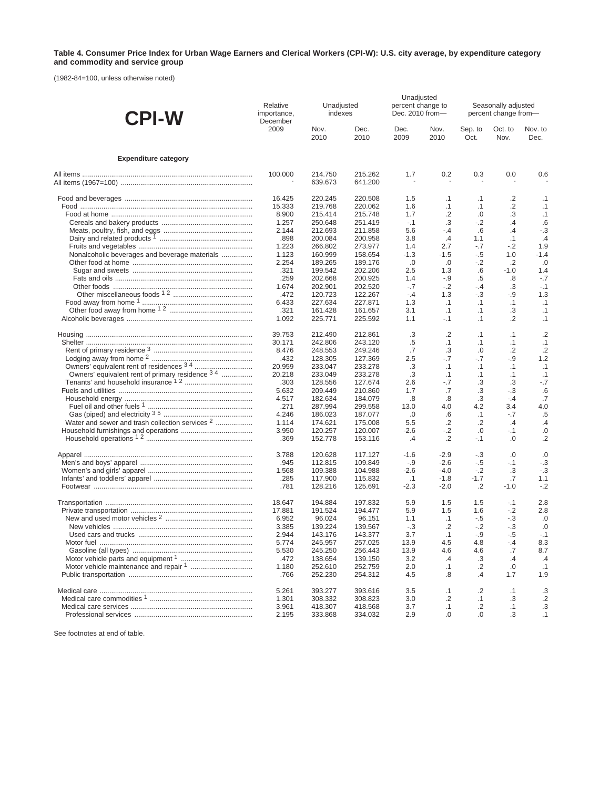#### **Table 4. Consumer Price Index for Urban Wage Earners and Clerical Workers (CPI-W): U.S. city average, by expenditure category and commodity and service group**

(1982-84=100, unless otherwise noted)

| <b>CPI-W</b>                                               | Relative<br>importance,<br>December | Unadjusted<br>indexes | Unadjusted<br>percent change to<br>Dec. 2010 from- |              | Seasonally adjusted<br>percent change from- |                 |                 |                  |
|------------------------------------------------------------|-------------------------------------|-----------------------|----------------------------------------------------|--------------|---------------------------------------------|-----------------|-----------------|------------------|
|                                                            | 2009                                | Nov.<br>2010          | Dec.<br>2010                                       | Dec.<br>2009 | Nov.<br>2010                                | Sep. to<br>Oct. | Oct. to<br>Nov. | Nov. to<br>Dec.  |
| <b>Expenditure category</b>                                |                                     |                       |                                                    |              |                                             |                 |                 |                  |
|                                                            | 100.000                             | 214.750<br>639.673    | 215.262<br>641.200                                 | 1.7          | 0.2                                         | 0.3             | 0.0             | 0.6              |
|                                                            |                                     |                       |                                                    |              |                                             |                 |                 |                  |
|                                                            | 16.425                              | 220.245               | 220.508                                            | 1.5          | .1                                          | $\cdot$ 1       | .2              | $\cdot$ 1        |
|                                                            | 15.333                              | 219.768               | 220.062                                            | 1.6          | .1                                          | .1              | .2              | .1               |
|                                                            | 8.900<br>1.257                      | 215.414<br>250.648    | 215.748<br>251.419                                 | 1.7<br>$-.1$ | .2<br>.3                                    | .0<br>$-2$      | .3<br>.4        | .1<br>.6         |
|                                                            | 2.144                               | 212.693               | 211.858                                            | 5.6          | $-.4$                                       | .6              | .4              | $-3$             |
|                                                            | .898                                | 200.084               | 200.958                                            | 3.8          | .4                                          | 1.1             | $\cdot$ 1       | .4               |
|                                                            | 1.223                               | 266.802               | 273.977                                            | 1.4          | 2.7                                         | $-.7$           | $-2$            | 1.9              |
| Nonalcoholic beverages and beverage materials              | 1.123                               | 160.999               | 158.654                                            | $-1.3$       | $-1.5$                                      | $-.5$           | 1.0             | $-1.4$           |
|                                                            | 2.254                               | 189.265               | 189.176                                            | .0           | .0                                          | $-.2$           | .2              | .0               |
|                                                            | .321                                | 199.542               | 202.206                                            | 2.5          | 1.3                                         | .6              | $-1.0$          | 1.4              |
|                                                            | .259                                | 202.668               | 200.925                                            | 1.4          | $-9$                                        | .5              | .8              | $-.7$            |
|                                                            | 1.674                               | 202.901               | 202.520                                            | $-.7$        | $-.2$                                       | $-.4$           | .3              | $-.1$            |
|                                                            | .472                                | 120.723               | 122.267                                            | $-.4$        | 1.3                                         | $-.3$           | $-.9$           | 1.3              |
|                                                            | 6.433<br>.321                       | 227.634<br>161.428    | 227.871<br>161.657                                 | 1.3<br>3.1   | .1<br>.1                                    | .1<br>.1        | $\cdot$ 1<br>.3 | $\cdot$ 1<br>.1  |
|                                                            | 1.092                               | 225.771               | 225.592                                            | 1.1          | $-.1$                                       | .1              | .2              | .1               |
|                                                            | 39.753                              | 212.490               | 212.861                                            | .3           | .2                                          | .1              | $\cdot$ 1       | .2               |
|                                                            | 30.171                              | 242.806               | 243.120                                            | .5           | .1                                          | .1              | $\cdot$ 1       | .1               |
|                                                            | 8.476                               | 248.553               | 249.246                                            | .7           | .3                                          | .0              | $\cdot$         | $\cdot$          |
|                                                            | .432                                | 128.305               | 127.369                                            | 2.5          | $-.7$                                       | $-.7$           | $-9$            | 1.2              |
|                                                            | 20.959<br>20.218                    | 233.047<br>233.049    | 233.278<br>233.278                                 | .3<br>.3     | .1<br>.1                                    | .1<br>.1        | .1<br>$\cdot$ 1 | .1<br>.1         |
| Owners' equivalent rent of primary residence 34            | .303                                | 128.556               | 127.674                                            | 2.6          | $-.7$                                       | .3              | .3              | $-.7$            |
|                                                            | 5.632                               | 209.449               | 210.860                                            | 1.7          | .7                                          | .3              | $-3$            | .6               |
|                                                            | 4.517                               | 182.634               | 184.079                                            | .8           | .8                                          | .3              | $-.4$           | .7               |
|                                                            | .271                                | 287.994               | 299.558                                            | 13.0         | 4.0                                         | 4.2             | 3.4             | 4.0              |
|                                                            | 4.246                               | 186.023               | 187.077                                            | .0           | .6                                          | .1              | $-.7$           | .5               |
| Water and sewer and trash collection services <sup>2</sup> | 1.114                               | 174.621               | 175.008                                            | 5.5          | $.2\phantom{0}$                             | $\cdot$ .2      | .4              | .4               |
|                                                            | 3.950                               | 120.257               | 120.007                                            | $-2.6$       | $-2$                                        | .0              | $-.1$           | .0               |
|                                                            | .369                                | 152.778               | 153.116                                            | $\cdot$      | .2                                          | $-.1$           | .0              | $\cdot$          |
|                                                            | 3.788                               | 120.628               | 117.127                                            | $-1.6$       | $-2.9$                                      | $-.3$           | .0              | .0               |
|                                                            | .945                                | 112.815               | 109.849                                            | $-9$         | $-2.6$                                      | $-5$            | $-.1$           | $-.3$            |
|                                                            | 1.568                               | 109.388               | 104.988                                            | $-2.6$       | $-4.0$                                      | $-.2$           | .3              | $-.3$            |
|                                                            | .285                                | 117.900               | 115.832                                            | $\cdot$ 1    | $-1.8$                                      | $-1.7$          | .7              | 1.1              |
|                                                            | .781                                | 128.216               | 125.691                                            | $-2.3$       | $-2.0$                                      | $\cdot$ .2      | $-1.0$          | $-.2$            |
|                                                            | 18.647<br>17.881                    | 194.884<br>191.524    | 197.832<br>194.477                                 | 5.9<br>5.9   | 1.5<br>1.5                                  | 1.5<br>1.6      | $-.1$<br>$-.2$  | 2.8<br>2.8       |
|                                                            | 6.952                               | 96.024                | 96.151                                             | 1.1          | $\cdot$ 1                                   | $-.5$           | $-.3$           | .0               |
|                                                            | 3.385                               | 139.224               | 139.567                                            | $-.3$        | $.2\,$                                      | $-2$            | $-3$            | .0               |
|                                                            | 2.944                               | 143.176               | 143.377                                            | 3.7          | $\cdot$ 1                                   | -.9             | $-.5$           | $-.1$            |
|                                                            | 5.774                               | 245.957               | 257.025                                            | 13.9         | 4.5                                         | 4.8             | $-.4$           | 8.3              |
|                                                            | 5.530                               | 245.250               | 256.443                                            | 13.9         | 4.6                                         | 4.6             | .7              | 8.7              |
|                                                            | .472                                | 138.654               | 139.150                                            | 3.2          | .4                                          | .3              | .4              | .4               |
|                                                            | 1.180<br>.766                       | 252.610<br>252.230    | 252.759<br>254.312                                 | 2.0<br>4.5   | $\cdot$ 1<br>.8                             | $\cdot$<br>.4   | .0<br>1.7       | $\cdot$ 1<br>1.9 |
|                                                            | 5.261                               | 393.277               | 393.616                                            | 3.5          | .1                                          | $\cdot$         | $\cdot$ 1       | .3               |
|                                                            | 1.301                               | 308.332               | 308.823                                            | 3.0          | $\cdot$                                     | .1              | .3              | $\cdot$          |
|                                                            | 3.961                               | 418.307               | 418.568                                            | 3.7          | $\cdot$ 1                                   | $\cdot$         | .1              | .3               |
|                                                            | 2.195                               | 333.868               | 334.032                                            | 2.9          | .0                                          | .0              | .3              | $\cdot$ 1        |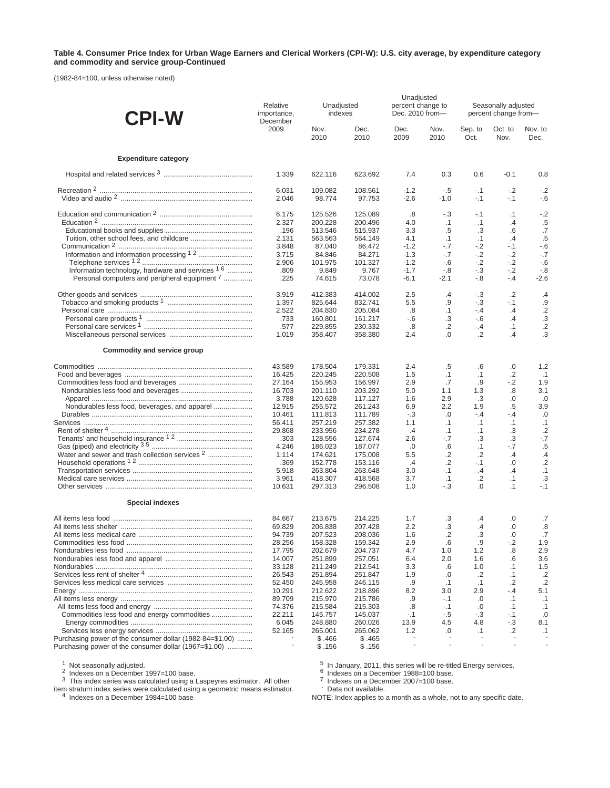#### **Table 4. Consumer Price Index for Urban Wage Earners and Clerical Workers (CPI-W): U.S. city average, by expenditure category and commodity and service group-Continued**

(1982-84=100, unless otherwise noted)

| <b>CPI-W</b>                                               | Relative<br>Unadjusted<br>indexes<br>importance,<br>December |                   |                   | Unadjusted<br>percent change to<br>Dec. 2010 from- |                 | Seasonally adjusted<br>percent change from- |                 |                 |  |
|------------------------------------------------------------|--------------------------------------------------------------|-------------------|-------------------|----------------------------------------------------|-----------------|---------------------------------------------|-----------------|-----------------|--|
|                                                            | 2009                                                         | Nov.<br>2010      | Dec.<br>2010      | Dec.<br>2009                                       | Nov.<br>2010    | Sep. to<br>Oct.                             | Oct. to<br>Nov. | Nov. to<br>Dec. |  |
| <b>Expenditure category</b>                                |                                                              |                   |                   |                                                    |                 |                                             |                 |                 |  |
|                                                            | 1.339                                                        | 622.116           | 623.692           | 7.4                                                | 0.3             | 0.6                                         | $-0.1$          | 0.8             |  |
|                                                            | 6.031                                                        | 109.082           | 108.561           | $-1.2$                                             | $-5$            | $-.1$                                       | $-.2$           | $-.2$           |  |
|                                                            | 2.046                                                        | 98.774            | 97.753            | $-2.6$                                             | $-1.0$          | $-.1$                                       | $-.1$           | $-6$            |  |
|                                                            | 6.175                                                        | 125.526           | 125.089           | .8                                                 | $-.3$           | $-.1$                                       | $\cdot$ 1       | $-.2$           |  |
|                                                            | 2.327                                                        | 200.228           | 200.496           | 4.0                                                | .1              | .1                                          | $\cdot$         | .5              |  |
|                                                            | .196                                                         | 513.546           | 515.937           | 3.3                                                | .5              | .3                                          | $.6\,$          | .7              |  |
|                                                            | 2.131                                                        | 563.563           | 564.149           | 4.1<br>$-1.2$                                      | .1<br>$-.7$     | .1                                          | .4              | .5              |  |
|                                                            | 3.848                                                        | 87.040            | 86.472            |                                                    |                 | $-2$                                        | $-.1$           | $-6$            |  |
|                                                            | 3.715<br>2.906                                               | 84.846<br>101.975 | 84.271<br>101.327 | $-1.3$<br>$-1.2$                                   | $-.7$<br>$-6$   | $-2$<br>$-2$                                | $-.2$<br>$-.2$  | $-.7$<br>$-6$   |  |
| Information technology, hardware and services 1 6          |                                                              | 9.849             | 9.767             | $-1.7$                                             |                 | $-.3$                                       | $-.2$           |                 |  |
| Personal computers and peripheral equipment <sup>7</sup>   | .809<br>.225                                                 | 74.615            | 73.078            | -6.1                                               | $-.8$<br>$-2.1$ | -.8                                         | $-.4$           | $-.8$<br>$-2.6$ |  |
|                                                            |                                                              |                   |                   |                                                    |                 |                                             |                 |                 |  |
|                                                            | 3.919                                                        | 412.383           | 414.002           | 2.5                                                | .4              | $-.3$                                       | .2              | $\cdot$         |  |
|                                                            | 1.397                                                        | 825.644           | 832.741           | 5.5                                                | .9              | $-.3$                                       | $-.1$           | .9              |  |
|                                                            | 2.522                                                        | 204.830           | 205.084           | .8                                                 | .1              | $-.4$                                       | .4              | $.2\phantom{0}$ |  |
|                                                            | .733                                                         | 160.801           | 161.217           | $-6$                                               | .3              | $-6$                                        | .4              | .3              |  |
|                                                            | .577                                                         | 229.855           | 230.332           | .8                                                 | $\cdot$ .2      | $-.4$                                       | $\cdot$ 1       | $.2\phantom{0}$ |  |
|                                                            | 1.019                                                        | 358.407           | 358.380           | 2.4                                                | .0              | $\cdot$ .2                                  | .4              | .3              |  |
| Commodity and service group                                |                                                              |                   |                   |                                                    |                 |                                             |                 |                 |  |
|                                                            | 43.589                                                       | 178.504           | 179.331           | 2.4                                                | .5              | .6                                          | .0              | 1.2             |  |
|                                                            | 16.425                                                       | 220.245           | 220.508           | 1.5                                                | .1              | .1                                          | .2              | $\cdot$ 1       |  |
|                                                            | 27.164                                                       | 155.953           | 156.997           | 2.9                                                | .7              | .9                                          | $-.2$           | 1.9             |  |
|                                                            | 16.703                                                       | 201.110           | 203.292           | 5.0                                                | 1.1             | 1.3                                         | .8              | 3.1             |  |
|                                                            | 3.788                                                        | 120.628           | 117.127           | $-1.6$                                             | $-2.9$          | $-.3$                                       | .0              | .0              |  |
|                                                            | 12.915                                                       | 255.572           | 261.243           | 6.9                                                | 2.2             | 1.9                                         | .5              | 3.9             |  |
|                                                            | 10.461                                                       | 111.813           | 111.789           | $-3$                                               | .0              | $-.4$                                       | $-.4$           | .0              |  |
|                                                            | 56.411                                                       | 257.219           | 257.382           | 1.1                                                | .1              | .1                                          | .1              | .1              |  |
|                                                            | 29.868                                                       | 233.956           | 234.278           | .4                                                 | .1              | .1                                          | .3              | .2              |  |
|                                                            | .303                                                         | 128.556           | 127.674           | 2.6                                                | -.7             | .3                                          | .3              | $-.7$           |  |
|                                                            | 4.246                                                        | 186.023           | 187.077           | .0                                                 | .6              | .1                                          | $-.7$           | .5              |  |
| Water and sewer and trash collection services <sup>2</sup> | 1.114                                                        | 174.621           | 175.008           | 5.5                                                | $\cdot$ .2      | .2                                          | $\cdot$         | .4              |  |
|                                                            | .369                                                         | 152.778           | 153.116           | .4                                                 | $.2\phantom{0}$ | $-.1$                                       | 0.              | .2              |  |
|                                                            | 5.918                                                        | 263.804           | 263.648           | 3.0                                                | $-.1$           | .4                                          | $\overline{A}$  | .1              |  |
|                                                            | 3.961                                                        | 418.307           | 418.568           | 3.7                                                | .1              | .2                                          | $\cdot$ 1       | .3              |  |
|                                                            | 10.631                                                       | 297.313           | 296.508           | 1.0                                                | $-.3$           | .0                                          | $\cdot$ 1       | $-.1$           |  |
| <b>Special indexes</b>                                     |                                                              |                   |                   |                                                    |                 |                                             |                 |                 |  |
|                                                            | 84.667                                                       | 213.675           | 214.225           | 1.7                                                | .3              | .4                                          | .0              | .7              |  |
|                                                            | 69.829                                                       | 206.838           | 207.428           | 2.2                                                | .3              | .4                                          | .0              | .8              |  |
|                                                            | 94.739                                                       | 207.523           | 208.036           | 1.6                                                | $\cdot$ .2      | .3                                          | 0.              | .7              |  |
|                                                            | 28.256                                                       | 158.328           | 159.342           | 2.9                                                | .b              | .9                                          | -.2             | 1.9             |  |
|                                                            | 17.795                                                       | 202.679           | 204.737           | 4.7                                                | 1.0             | 1.2                                         | .8              | 2.9             |  |
|                                                            | 14.007                                                       | 251.899           | 257.051           | 6.4                                                | 2.0             | 1.6                                         | .6              | 3.6             |  |
|                                                            | 33.128                                                       | 211.249           | 212.541           | 3.3                                                | .6              | 1.0                                         | $\cdot$ 1       | 1.5             |  |
|                                                            | 26.543                                                       | 251.894           | 251.847           | 1.9                                                | .0              | .2                                          | $\cdot$ 1       | .2              |  |
|                                                            | 52.450                                                       | 245.958           | 246.115           | .9                                                 | $\cdot$ 1       | $\cdot$ 1                                   | .2              | .2              |  |
|                                                            | 10.291                                                       | 212.622           | 218.896           | 8.2                                                | 3.0             | 2.9                                         | $-.4$           | 5.1             |  |
|                                                            | 89.709                                                       | 215.970           | 215.786           | .9                                                 | -.1             | .0                                          | $\cdot$ 1       | -1              |  |
|                                                            | 74.376                                                       | 215.584           | 215.303           | .8                                                 | $-.1$           | .0                                          | $\cdot$ 1       | $\cdot$ 1       |  |
| Commodities less food and energy commodities               | 22.211                                                       | 145.757           | 145.037           | $-.1$                                              | $-.5$           | -.3                                         | $-.1$           | .0              |  |
|                                                            | 6.045                                                        | 248.880           | 260.026           | 13.9                                               | 4.5             | 4.8                                         | $-.3$           | 8.1             |  |
|                                                            | 52.165                                                       | 265.001           | 265.062           | 1.2                                                | .0              | $\cdot$ 1                                   | .2              | $\cdot$ 1       |  |
| Purchasing power of the consumer dollar (1982-84=\$1.00)   |                                                              | \$.466            | \$.465            |                                                    |                 |                                             |                 |                 |  |
| Purchasing power of the consumer dollar (1967=\$1.00)      |                                                              | \$.156            | \$.156            |                                                    |                 |                                             |                 |                 |  |

<sup>1</sup> Not seasonally adjusted.<br><sup>2</sup> Indexes on a December 1997=100 base.<br><sup>3</sup> This index series was calculated using a Laspeyres estimator. All other

item stratum index series were calculated using a geometric means estimator.<br><sup>4</sup> Indexes on a December 1984=100 base

5 In January, 2011, this series will be re-titled Energy services.<br>
6 Indexes on a December 1988=100 base.<br>
7 Indexes on a December 2007=100 base.<br>
- Data not available.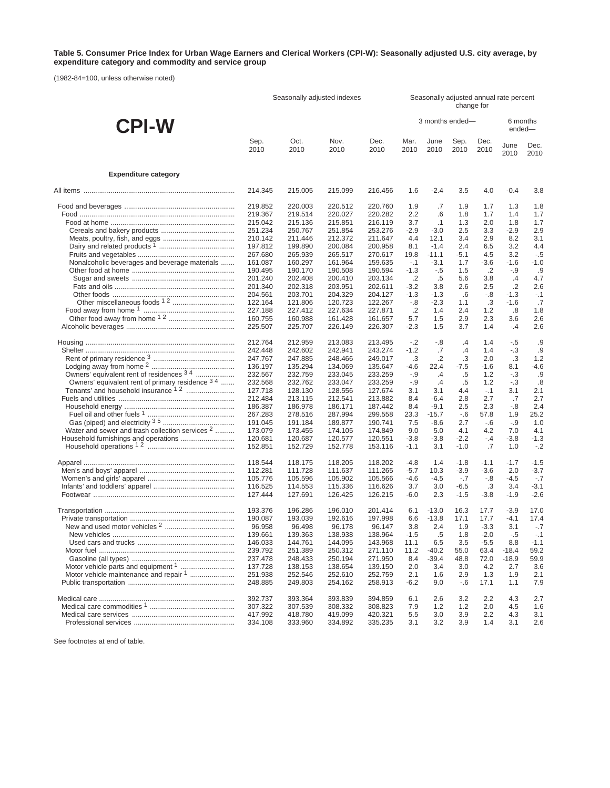#### **Table 5. Consumer Price Index for Urban Wage Earners and Clerical Workers (CPI-W): Seasonally adjusted U.S. city average, by expenditure category and commodity and service group**

(1982-84=100, unless otherwise noted)

|                                                            | Seasonally adjusted indexes |                    |                    |                    |               | Seasonally adjusted annual rate percent<br>change for |                  |                        |               |                    |  |
|------------------------------------------------------------|-----------------------------|--------------------|--------------------|--------------------|---------------|-------------------------------------------------------|------------------|------------------------|---------------|--------------------|--|
| <b>CPI-W</b>                                               |                             |                    |                    |                    |               | 3 months ended-                                       |                  |                        |               | 6 months<br>ended- |  |
|                                                            | Sep.<br>2010                | Oct.<br>2010       | Nov.<br>2010       | Dec.<br>2010       | Mar.<br>2010  | June<br>2010                                          | Sep.<br>2010     | Dec.<br>2010           | June<br>2010  | Dec.<br>2010       |  |
| <b>Expenditure category</b>                                |                             |                    |                    |                    |               |                                                       |                  |                        |               |                    |  |
|                                                            | 214.345                     | 215.005            | 215.099            | 216.456            | 1.6           | $-2.4$                                                | 3.5              | 4.0                    | $-0.4$        | 3.8                |  |
|                                                            | 219.852                     | 220.003            | 220.512            | 220.760            | 1.9           | .7                                                    | 1.9              | 1.7                    | 1.3           | 1.8                |  |
|                                                            | 219.367                     | 219.514            | 220.027            | 220.282            | 2.2           | .6                                                    | 1.8              | 1.7                    | 1.4           | 1.7                |  |
|                                                            | 215.042                     | 215.136            | 215.851            | 216.119            | 3.7           | $\cdot$ 1                                             | 1.3              | 2.0                    | 1.8           | 1.7                |  |
|                                                            | 251.234                     | 250.767            | 251.854            | 253.276            | $-2.9$        | $-3.0$                                                | 2.5              | 3.3                    | $-2.9$        | 2.9                |  |
|                                                            | 210.142                     | 211.446            | 212.372            | 211.647            | 4.4           | 12.1                                                  | 3.4              | 2.9                    | 8.2           | 3.1                |  |
|                                                            | 197.812                     | 199.890            | 200.084            | 200.958            | 8.1           | $-1.4$                                                | 2.4              | 6.5                    | 3.2           | 4.4                |  |
|                                                            | 267.680                     | 265.939            | 265.517            | 270.617            | 19.8          | $-11.1$                                               | $-5.1$           | 4.5                    | 3.2           | $-.5$              |  |
| Nonalcoholic beverages and beverage materials              | 161.087                     | 160.297            | 161.964            | 159.635            | $-.1$         | $-3.1$                                                | 1.7              | $-3.6$                 | $-1.6$        | $-1.0$             |  |
|                                                            | 190.495                     | 190.170            | 190.508            | 190.594            | $-1.3$        | $-.5$<br>.5                                           | 1.5              | $.2\phantom{0}$<br>3.8 | $-.9$         | .9<br>4.7          |  |
|                                                            | 201.240<br>201.340          | 202.408<br>202.318 | 200.410<br>203.951 | 203.134<br>202.611 | .2<br>$-3.2$  | 3.8                                                   | 5.6<br>2.6       | 2.5                    | $\cdot$<br>.2 | 2.6                |  |
|                                                            | 204.561                     | 203.701            | 204.329            | 204.127            | $-1.3$        | $-1.3$                                                | .6               | $-.8$                  | $-1.3$        | $-.1$              |  |
|                                                            | 122.164                     | 121.806            | 120.723            | 122.267            | $-.8$         | $-2.3$                                                | 1.1              | .3                     | $-1.6$        | .7                 |  |
| Other miscellaneous foods 12                               | 227.188                     | 227.412            | 227.634            | 227.871            | $\cdot$       | 1.4                                                   | 2.4              | 1.2                    | .8            | 1.8                |  |
|                                                            | 160.755                     | 160.988            | 161.428            | 161.657            | 5.7           | 1.5                                                   | 2.9              | 2.3                    | 3.6           | 2.6                |  |
|                                                            | 225.507                     | 225.707            | 226.149            | 226.307            | $-2.3$        | 1.5                                                   | 3.7              | 1.4                    | $-.4$         | 2.6                |  |
|                                                            | 212.764                     | 212.959            | 213.083            | 213.495            | $-2$          | $-.8$                                                 | .4               | 1.4                    | $-.5$         | .9                 |  |
|                                                            | 242.448                     | 242.602            | 242.941            | 243.274            | $-1.2$        | .7                                                    | .4               | 1.4                    | $-3$          | .9                 |  |
|                                                            | 247.767                     | 247.885            | 248.466            | 249.017            | .3            | .2                                                    | .3               | 2.0                    | .3            | 1.2                |  |
| Owners' equivalent rent of residences 3 4                  | 136.197                     | 135.294            | 134.069            | 135.647            | $-4.6$        | 22.4                                                  | $-7.5$           | $-1.6$                 | 8.1           | $-4.6$             |  |
|                                                            | 232.567                     | 232.759            | 233.045            | 233.259            | $-.9$         | $\cdot$                                               | .5               | 1.2                    | $-.3$         | .9                 |  |
| Owners' equivalent rent of primary residence 34            | 232.568<br>127.718          | 232.762<br>128.130 | 233.047<br>128.556 | 233.259<br>127.674 | $-.9$<br>3.1  | .4<br>3.1                                             | .5<br>4.4        | 1.2<br>$-.1$           | $-.3$<br>3.1  | .8<br>2.1          |  |
|                                                            | 212.484                     | 213.115            | 212.541            | 213.882            | 8.4           | $-6.4$                                                | 2.8              | 2.7                    | .7            | 2.7                |  |
|                                                            | 186.387                     | 186.978            | 186.171            | 187.442            | 8.4           | $-9.1$                                                | 2.5              | 2.3                    | $-.8$         | 2.4                |  |
|                                                            | 267.283                     | 278.516            | 287.994            | 299.558            | 23.3          | $-15.7$                                               | $-6$             | 57.8                   | 1.9           | 25.2               |  |
|                                                            | 191.045                     | 191.184            | 189.877            | 190.741            | 7.5           | $-8.6$                                                | 2.7              | $-6$                   | $-.9$         | 1.0                |  |
| Water and sewer and trash collection services <sup>2</sup> | 173.079                     | 173.455            | 174.105            | 174.849            | 9.0           | 5.0                                                   | 4.1              | 4.2                    | 7.0           | 4.1                |  |
| Household furnishings and operations                       | 120.681                     | 120.687            | 120.577            | 120.551            | $-3.8$        | $-3.8$                                                | $-2.2$           | $-.4$                  | $-3.8$        | $-1.3$             |  |
|                                                            | 152.851                     | 152.729            | 152.778            | 153.116            | $-1.1$        | 3.1                                                   | $-1.0$           | .7                     | 1.0           | $-.2$              |  |
|                                                            | 118.544                     | 118.175            | 118.205            | 118.202            | $-4.8$        | 1.4                                                   | $-1.8$           | $-1.1$                 | $-1.7$        | $-1.5$             |  |
|                                                            | 112.281                     | 111.728            | 111.637            | 111.265            | $-5.7$        | 10.3                                                  | $-3.9$           | $-3.6$                 | 2.0           | $-3.7$             |  |
|                                                            | 105.776                     | 105.596            | 105.902            | 105.566            | -4.6          | $-4.5$                                                | $-.7$            | $-8$                   | $-4.5$        | $-.7$              |  |
|                                                            | 116.525<br>127.444          | 114.553<br>127.691 | 115.336<br>126.425 | 116.626<br>126.215 | 3.7<br>$-6.0$ | 3.0<br>2.3                                            | $-6.5$<br>$-1.5$ | .3<br>$-3.8$           | 3.4<br>$-1.9$ | $-3.1$<br>$-2.6$   |  |
|                                                            | 193.376                     | 196.286            | 196.010            | 201.414            | 6.1           | $-13.0$                                               | 16.3             | 17.7                   | $-3.9$        | 17.0               |  |
|                                                            | 190.087                     | 193.039            | 192.616            | 197.998            | 6.6           | $-13.8$                                               | 17.1             | 17.7                   | $-4.1$        | 17.4               |  |
|                                                            | 96.958                      | 96.498             | 96.178             | 96.147             | 3.8           | 2.4                                                   | 1.9              | $-3.3$                 | 3.1           | $-.7$              |  |
|                                                            | 139.661                     | 139.363            | 138.938            | 138.964            | $-1.5$        | .5                                                    | 1.8              | $-2.0$                 | $-.5$         | $-.1$              |  |
|                                                            | 146.033                     | 144.761            | 144.095            | 143.968            | 11.1          | 6.5                                                   | 3.5              | $-5.5$                 | 8.8           | $-1.1$             |  |
|                                                            | 239.792                     | 251.389            | 250.312            | 271.110            | 11.2          | $-40.2$                                               | 55.0             | 63.4                   | $-18.4$       | 59.2               |  |
|                                                            | 237.478                     | 248.433            | 250.194            | 271.950            | 8.4           | $-39.4$                                               | 48.8             | 72.0                   | $-18.9$       | 59.9               |  |
|                                                            | 137.728                     | 138.153            | 138.654            | 139.150            | 2.0           | 3.4                                                   | 3.0              | 4.2                    | 2.7           | 3.6                |  |
| Motor vehicle maintenance and repair <sup>1</sup>          | 251.938<br>248.885          | 252.546<br>249.803 | 252.610<br>254.162 | 252.759<br>258.913 | 2.1<br>$-6.2$ | 1.6<br>9.0                                            | 2.9<br>$-6$      | 1.3<br>17.1            | 1.9<br>1.1    | 2.1<br>7.9         |  |
|                                                            | 392.737                     | 393.364            | 393.839            | 394.859            | 6.1           | 2.6                                                   | 3.2              | 2.2                    | 4.3           | 2.7                |  |
|                                                            | 307.322                     | 307.539            | 308.332            | 308.823            | 7.9           | 1.2                                                   | 1.2              | 2.0                    | 4.5           | 1.6                |  |
|                                                            | 417.992                     | 418.780            | 419.099            | 420.321            | 5.5           | 3.0                                                   | 3.9              | 2.2                    | 4.3           | 3.1                |  |
|                                                            | 334.108                     | 333.960            | 334.892            | 335.235            | 3.1           | 3.2                                                   | 3.9              | 1.4                    | 3.1           | 2.6                |  |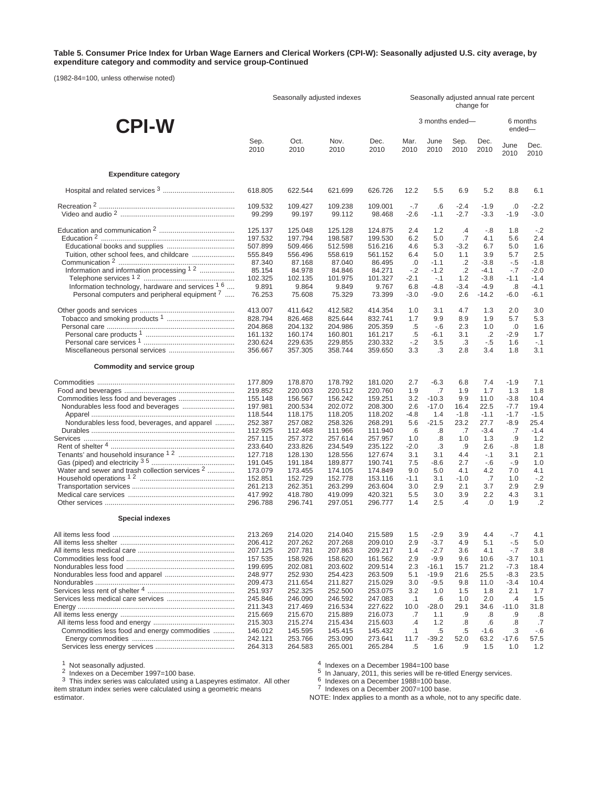#### **Table 5. Consumer Price Index for Urban Wage Earners and Clerical Workers (CPI-W): Seasonally adjusted U.S. city average, by expenditure category and commodity and service group-Continued**

(1982-84=100, unless otherwise noted)

|                                                                                                                                                                                                                     | Seasonally adjusted indexes                                                                                                                                                  |                                                                                                                                                                              |                                                                                                                                                                              |                                                                                                                                                                              |                                                                                                                      | Seasonally adjusted annual rate percent<br>change for                                                                              |                                                                                                                   |                                                                                                                        |                                                                                                                             |                                                                                                                        |  |
|---------------------------------------------------------------------------------------------------------------------------------------------------------------------------------------------------------------------|------------------------------------------------------------------------------------------------------------------------------------------------------------------------------|------------------------------------------------------------------------------------------------------------------------------------------------------------------------------|------------------------------------------------------------------------------------------------------------------------------------------------------------------------------|------------------------------------------------------------------------------------------------------------------------------------------------------------------------------|----------------------------------------------------------------------------------------------------------------------|------------------------------------------------------------------------------------------------------------------------------------|-------------------------------------------------------------------------------------------------------------------|------------------------------------------------------------------------------------------------------------------------|-----------------------------------------------------------------------------------------------------------------------------|------------------------------------------------------------------------------------------------------------------------|--|
| <b>CPI-W</b>                                                                                                                                                                                                        |                                                                                                                                                                              |                                                                                                                                                                              |                                                                                                                                                                              |                                                                                                                                                                              |                                                                                                                      | 3 months ended-                                                                                                                    |                                                                                                                   |                                                                                                                        | 6 months<br>ended-                                                                                                          |                                                                                                                        |  |
|                                                                                                                                                                                                                     | Sep.<br>2010                                                                                                                                                                 | Oct.<br>2010                                                                                                                                                                 | Nov.<br>2010                                                                                                                                                                 | Dec.<br>2010                                                                                                                                                                 | Mar.<br>2010                                                                                                         | June<br>2010                                                                                                                       | Sep.<br>2010                                                                                                      | Dec.<br>2010                                                                                                           | June<br>2010                                                                                                                | Dec.<br>2010                                                                                                           |  |
| <b>Expenditure category</b>                                                                                                                                                                                         |                                                                                                                                                                              |                                                                                                                                                                              |                                                                                                                                                                              |                                                                                                                                                                              |                                                                                                                      |                                                                                                                                    |                                                                                                                   |                                                                                                                        |                                                                                                                             |                                                                                                                        |  |
|                                                                                                                                                                                                                     | 618.805                                                                                                                                                                      | 622.544                                                                                                                                                                      | 621.699                                                                                                                                                                      | 626.726                                                                                                                                                                      | 12.2                                                                                                                 | 5.5                                                                                                                                | 6.9                                                                                                               | 5.2                                                                                                                    | 8.8                                                                                                                         | 6.1                                                                                                                    |  |
|                                                                                                                                                                                                                     | 109.532<br>99.299                                                                                                                                                            | 109.427<br>99.197                                                                                                                                                            | 109.238<br>99.112                                                                                                                                                            | 109.001<br>98.468                                                                                                                                                            | $-.7$<br>$-2.6$                                                                                                      | .6<br>$-1.1$                                                                                                                       | $-2.4$<br>$-2.7$                                                                                                  | $-1.9$<br>$-3.3$                                                                                                       | .0<br>$-1.9$                                                                                                                | $-2.2$<br>$-3.0$                                                                                                       |  |
| Tuition, other school fees, and childcare<br>Information and information processing <sup>1</sup> <sup>2</sup><br>Information technology, hardware and services 1 6<br>Personal computers and peripheral equipment 7 | 125.137<br>197.532<br>507.899<br>555.849<br>87.340<br>85.154<br>102.325<br>9.891<br>76.253                                                                                   | 125.048<br>197.794<br>509.466<br>556.496<br>87.168<br>84.978<br>102.135<br>9.864<br>75.608                                                                                   | 125.128<br>198.587<br>512.598<br>558.619<br>87.040<br>84.846<br>101.975<br>9.849<br>75.329                                                                                   | 124.875<br>199.530<br>516.216<br>561.152<br>86.495<br>84.271<br>101.327<br>9.767<br>73.399                                                                                   | 2.4<br>6.2<br>4.6<br>6.4<br>.0<br>$-.2$<br>$-2.1$<br>6.8<br>$-3.0$                                                   | 1.2<br>5.0<br>5.3<br>5.0<br>$-1.1$<br>$-1.2$<br>$-.1$<br>$-4.8$<br>$-9.0$                                                          | $\cdot$<br>.7<br>-3.2<br>1.1<br>$.2\phantom{0}$<br>$.2\phantom{0}$<br>1.2<br>$-3.4$<br>2.6                        | $-.8$<br>4.1<br>6.7<br>3.9<br>$-3.8$<br>$-4.1$<br>$-3.8$<br>$-4.9$<br>$-14.2$                                          | 1.8<br>5.6<br>5.0<br>5.7<br>$-.5$<br>$-.7$<br>$-1.1$<br>.8<br>$-6.0$                                                        | $-.2$<br>2.4<br>1.6<br>2.5<br>$-1.8$<br>$-2.0$<br>$-1.4$<br>$-4.1$<br>$-6.1$                                           |  |
|                                                                                                                                                                                                                     | 413.007<br>828.794<br>204.868<br>161.132<br>230.624<br>356.667                                                                                                               | 411.642<br>826.468<br>204.132<br>160.174<br>229.635<br>357.305                                                                                                               | 412.582<br>825.644<br>204.986<br>160.801<br>229.855<br>358.744                                                                                                               | 414.354<br>832.741<br>205.359<br>161.217<br>230.332<br>359.650                                                                                                               | 1.0<br>1.7<br>.5<br>.5<br>$-2$<br>3.3                                                                                | 3.1<br>9.9<br>$-.6$<br>-6.1<br>3.5<br>.3                                                                                           | 4.7<br>8.9<br>2.3<br>3.1<br>.3<br>2.8                                                                             | 1.3<br>1.9<br>1.0<br>$.2\phantom{0}$<br>$-5$<br>3.4                                                                    | 2.0<br>5.7<br>.0<br>$-2.9$<br>1.6<br>1.8                                                                                    | 3.0<br>5.3<br>1.6<br>1.7<br>$-.1$<br>3.1                                                                               |  |
| Commodity and service group                                                                                                                                                                                         |                                                                                                                                                                              |                                                                                                                                                                              |                                                                                                                                                                              |                                                                                                                                                                              |                                                                                                                      |                                                                                                                                    |                                                                                                                   |                                                                                                                        |                                                                                                                             |                                                                                                                        |  |
| Nondurables less food, beverages, and apparel<br>Water and sewer and trash collection services <sup>2</sup><br><b>Special indexes</b>                                                                               | 177.809<br>219.852<br>155.148<br>197.981<br>118.544<br>252.387<br>112.925<br>257.115<br>233.640<br>127.718<br>191.045<br>173.079<br>152.851<br>261.213<br>417.992<br>296.788 | 178.870<br>220.003<br>156.567<br>200.534<br>118.175<br>257.082<br>112.468<br>257.372<br>233.826<br>128.130<br>191.184<br>173.455<br>152.729<br>262.351<br>418.780<br>296.741 | 178.792<br>220.512<br>156.242<br>202.072<br>118.205<br>258.326<br>111.966<br>257.614<br>234.549<br>128.556<br>189.877<br>174.105<br>152.778<br>263.299<br>419.099<br>297.051 | 181.020<br>220.760<br>159.251<br>208.300<br>118.202<br>268.291<br>111.940<br>257.957<br>235.122<br>127.674<br>190.741<br>174.849<br>153.116<br>263.604<br>420.321<br>296.777 | 2.7<br>1.9<br>3.2<br>2.6<br>$-4.8$<br>5.6<br>.6<br>1.0<br>$-2.0$<br>3.1<br>7.5<br>9.0<br>$-1.1$<br>3.0<br>5.5<br>1.4 | $-6.3$<br>.7<br>$-10.3$<br>$-17.0$<br>1.4<br>$-21.5$<br>.8<br>.8<br>.3<br>3.1<br>$-8.6$<br>5.0<br>3.1<br>2.9<br>3.0<br>2.5         | 6.8<br>1.9<br>9.9<br>16.4<br>$-1.8$<br>23.2<br>.7<br>1.0<br>.9<br>4.4<br>2.7<br>4.1<br>$-1.0$<br>2.1<br>3.9<br>.4 | 7.4<br>1.7<br>11.0<br>22.5<br>$-1.1$<br>27.7<br>$-3.4$<br>1.3<br>2.6<br>$-.1$<br>$-6$<br>4.2<br>.7<br>3.7<br>2.2<br>.0 | $-1.9$<br>1.3<br>$-3.8$<br>$-7.7$<br>$-1.7$<br>$-8.9$<br>.7<br>.9<br>$-8$<br>3.1<br>-.9<br>7.0<br>1.0<br>2.9<br>4.3<br>1.9  | 7.1<br>1.8<br>10.4<br>19.4<br>$-1.5$<br>25.4<br>$-1.4$<br>1.2<br>1.8<br>2.1<br>1.0<br>4.1<br>$-.2$<br>2.9<br>3.1<br>.2 |  |
| Commodities less food and energy commodities                                                                                                                                                                        | 213.269<br>206.412<br>207.125<br>157.535<br>199.695<br>248.977<br>209.473<br>251.937<br>245.846<br>211.343<br>215.669<br>215.303<br>146.012<br>242.121<br>264.313            | 214.020<br>207.262<br>207.781<br>158.926<br>202.081<br>252.930<br>211.654<br>252.325<br>246.090<br>217.469<br>215.670<br>215.274<br>145.595<br>253.766<br>264.583            | 214.040<br>207.268<br>207.863<br>158.620<br>203.602<br>254.423<br>211.827<br>252.500<br>246.592<br>216.534<br>215.889<br>215.434<br>145.415<br>253.090<br>265.001            | 215.589<br>209.010<br>209.217<br>161.562<br>209.514<br>263.509<br>215.029<br>253.075<br>247.083<br>227.622<br>216.073<br>215.603<br>145.432<br>273.641<br>265.284            | 1.5<br>2.9<br>1.4<br>2.9<br>2.3<br>5.1<br>3.0<br>3.2<br>$\cdot$ 1<br>10.0<br>.7<br>.4<br>.1<br>11.7<br>.5            | $-2.9$<br>$-3.7$<br>$-2.7$<br>$-9.9$<br>$-16.1$<br>$-19.9$<br>$-9.5$<br>1.0<br>.6<br>$-28.0$<br>1.1<br>1.2<br>.5<br>$-39.2$<br>1.6 | 3.9<br>4.9<br>3.6<br>9.6<br>15.7<br>21.6<br>9.8<br>1.5<br>1.0<br>29.1<br>.9<br>.8<br>.5<br>52.0<br>.9             | 4.4<br>5.1<br>4.1<br>10.6<br>21.2<br>25.5<br>11.0<br>1.8<br>2.0<br>34.6<br>.8<br>.6<br>$-1.6$<br>63.2<br>1.5           | $-.7$<br>$-.5$<br>$-.7$<br>$-3.7$<br>$-7.3$<br>$-8.3$<br>$-3.4$<br>2.1<br>.4<br>$-11.0$<br>.9<br>.8<br>.3<br>$-17.6$<br>1.0 | 4.1<br>5.0<br>3.8<br>10.1<br>18.4<br>23.5<br>10.4<br>1.7<br>1.5<br>31.8<br>.8<br>.7<br>$-.6$<br>57.5<br>1.2            |  |

estimator.

<sup>1</sup> Not seasonally adjusted.<br><sup>2</sup> Indexes on a December 1997=100 base.<br><sup>3</sup> This index series was calculated using a Laspeyres estimator. All other item stratum index series were calculated using a geometric means

<sup>4</sup> Indexes on a December 1984=100 base<br><sup>5</sup> In January, 2011, this series will be re-titled Energy services.<br><sup>6</sup> Indexes on a December 1988=100 base.<br><sup>7</sup> Indexes on a December 2007=100 base.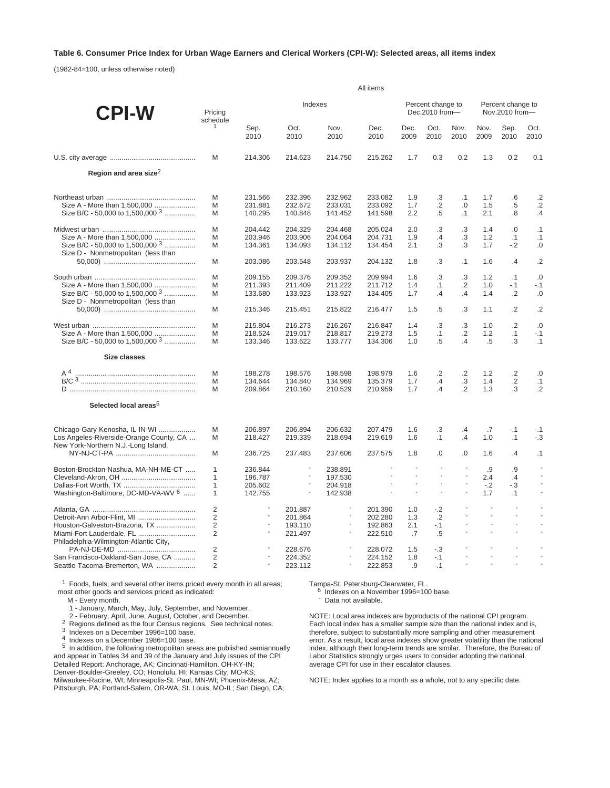### **Table 6. Consumer Price Index for Urban Wage Earners and Clerical Workers (CPI-W): Selected areas, all items index**

(1982-84=100, unless otherwise noted)

|                                                                                                                    | All items                        |                    |                                                      |                                                      |                    |                |                                     |                              |                                     |                    |                       |  |
|--------------------------------------------------------------------------------------------------------------------|----------------------------------|--------------------|------------------------------------------------------|------------------------------------------------------|--------------------|----------------|-------------------------------------|------------------------------|-------------------------------------|--------------------|-----------------------|--|
| <b>CPI-W</b>                                                                                                       | Pricina<br>schedule              |                    | Indexes                                              |                                                      |                    |                | Percent change to<br>Dec.2010 from- |                              | Percent change to<br>Nov.2010 from- |                    |                       |  |
|                                                                                                                    | $\mathbf{1}$                     | Sep.<br>2010       | Oct.<br>2010                                         | Nov.<br>2010                                         | Dec.<br>2010       | Dec.<br>2009   | Oct.<br>2010                        | Nov.<br>2010                 | Nov.<br>2009                        | Sep.<br>2010       | Oct.<br>2010          |  |
|                                                                                                                    | M                                | 214.306            | 214.623                                              | 214.750                                              | 215.262            | 1.7            | 0.3                                 | 0.2                          | 1.3                                 | 0.2                | 0.1                   |  |
| Region and area size <sup>2</sup>                                                                                  |                                  |                    |                                                      |                                                      |                    |                |                                     |                              |                                     |                    |                       |  |
|                                                                                                                    | M                                | 231.566            | 232.396                                              | 232.962                                              | 233.082            | 1.9            | .3                                  | $\cdot$ 1                    | 1.7                                 | .6                 | .2                    |  |
| Size A - More than 1,500,000<br>Size B/C - 50,000 to 1,500,000 3                                                   | M<br>M                           | 231.881<br>140.295 | 232.672<br>140.848                                   | 233.031<br>141.452                                   | 233.092<br>141.598 | 1.7<br>2.2     | $\cdot$ .2<br>$.5\,$                | 0.<br>$\cdot$ 1              | 1.5<br>2.1                          | .5<br>.8           | $\cdot$ .2<br>$\cdot$ |  |
|                                                                                                                    | M                                | 204.442            | 204.329                                              | 204.468                                              | 205.024            | 2.0            | .3                                  | .3                           | 1.4                                 | .0                 | .1                    |  |
| Size A - More than 1,500,000<br>Size B/C - 50,000 to 1,500,000 <sup>3</sup><br>Size D - Nonmetropolitan (less than | M<br>M                           | 203.946<br>134.361 | 203.906<br>134.093                                   | 204.064<br>134.112                                   | 204.731<br>134.454 | 1.9<br>2.1     | .4<br>.3                            | .3<br>.3                     | 1.2<br>1.7                          | $\cdot$ 1<br>$-.2$ | .1<br>.0              |  |
|                                                                                                                    | M                                | 203.086            | 203.548                                              | 203.937                                              | 204.132            | 1.8            | .3                                  | $\cdot$ 1                    | 1.6                                 | .4                 | $\cdot$ .2            |  |
|                                                                                                                    | M                                | 209.155            | 209.376                                              | 209.352                                              | 209.994            | 1.6            | .3                                  | .3                           | 1.2                                 | $\cdot$ 1          | .0                    |  |
| Size A - More than 1,500,000                                                                                       | M                                | 211.393            | 211.409                                              | 211.222                                              | 211.712            | 1.4            | $\cdot$ 1                           | $\cdot$ .2                   | 1.0                                 | $-.1$              | $-.1$                 |  |
| Size B/C - 50,000 to 1,500,000 3<br>Size D - Nonmetropolitan (less than                                            | M                                | 133.680            | 133.923                                              | 133.927                                              | 134.405            | 1.7            | .4                                  | $\overline{A}$               | 1.4                                 | $\cdot$ .2         | .0                    |  |
|                                                                                                                    | M                                | 215.346            | 215.451                                              | 215.822                                              | 216.477            | 1.5            | .5                                  | .3                           | 1.1                                 | .2                 | .2                    |  |
|                                                                                                                    | M                                | 215.804            | 216.273                                              | 216.267                                              | 216.847            | 1.4            | .3                                  | .3                           | 1.0                                 | $\cdot$            | .0                    |  |
| Size A - More than 1,500,000<br>Size B/C - 50,000 to 1,500,000 3                                                   | M<br>M                           | 218.524<br>133.346 | 219.017<br>133.622                                   | 218.817<br>133.777                                   | 219.273<br>134.306 | 1.5<br>1.0     | $\cdot$ 1<br>.5                     | $\cdot$ .2<br>$\overline{A}$ | 1.2<br>.5                           | $\cdot$ 1<br>.3    | $-.1$<br>.1           |  |
| <b>Size classes</b>                                                                                                |                                  |                    |                                                      |                                                      |                    |                |                                     |                              |                                     |                    |                       |  |
| $A^4$                                                                                                              | M                                | 198.278            | 198.576                                              | 198.598                                              | 198.979            | 1.6            | $\cdot$ .2                          | .2                           | 1.2                                 | $\cdot$ .2         | .0                    |  |
|                                                                                                                    | M                                | 134.644            | 134.840                                              | 134.969                                              | 135.379            | 1.7            | .4                                  | .3                           | 1.4                                 | $\cdot$ .2         | .1                    |  |
|                                                                                                                    | M                                | 209.864            | 210.160                                              | 210.529                                              | 210.959            | 1.7            | .4                                  | $\overline{2}$               | 1.3                                 | .3                 | $\cdot$ .2            |  |
| Selected local areas <sup>5</sup>                                                                                  |                                  |                    |                                                      |                                                      |                    |                |                                     |                              |                                     |                    |                       |  |
| Chicago-Gary-Kenosha, IL-IN-WI                                                                                     | M                                | 206.897            | 206.894                                              | 206.632                                              | 207.479            | 1.6            | .3                                  | $\cdot$                      | .7                                  | $-.1$              | $-.1$                 |  |
| Los Angeles-Riverside-Orange County, CA<br>New York-Northern N.J.-Long Island,                                     | M                                | 218.427            | 219.339                                              | 218.694                                              | 219.619            | 1.6            | $\cdot$ 1                           | .4                           | 1.0                                 | $\cdot$ 1          | $-.3$                 |  |
|                                                                                                                    | M                                | 236.725            | 237.483                                              | 237.606                                              | 237.575            | 1.8            | .0                                  | .0                           | 1.6                                 | .4                 | .1                    |  |
| Boston-Brockton-Nashua, MA-NH-ME-CT                                                                                | $\mathbf{1}$                     | 236.844            | $\overline{\phantom{a}}$                             | 238.891                                              |                    |                | $\overline{a}$                      | $\sim$                       | .9                                  | .9                 |                       |  |
|                                                                                                                    | 1                                | 196.787            | $\overline{\phantom{a}}$                             | 197.530                                              | $\overline{a}$     | ÷<br>÷         | ÷<br>÷,                             | ÷<br>÷,                      | 2.4                                 | .4                 |                       |  |
| Washington-Baltimore, DC-MD-VA-WV 6                                                                                | $\mathbf{1}$<br>$\mathbf{1}$     | 205.602<br>142.755 | $\overline{\phantom{a}}$<br>$\overline{\phantom{a}}$ | 204.918<br>142.938                                   | $\sim$             | $\overline{a}$ | $\overline{\phantom{a}}$            | $\overline{\phantom{a}}$     | $-.2$<br>1.7                        | $-.3$<br>$\cdot$ 1 | $\sim$                |  |
|                                                                                                                    | 2                                |                    | 201.887                                              | $\overline{\phantom{a}}$                             | 201.390            | 1.0            | $-2$                                |                              | $\sim$<br>$\overline{a}$            | $\overline{a}$     |                       |  |
| Detroit-Ann Arbor-Flint, MI                                                                                        | $\overline{2}$                   |                    | 201.864                                              | $\overline{\phantom{a}}$<br>$\overline{\phantom{a}}$ | 202.280            | 1.3            | $.2\phantom{0}$                     | $\overline{a}$               | $\overline{\phantom{a}}$            | $\overline{a}$     |                       |  |
| Houston-Galveston-Brazoria, TX                                                                                     | $\overline{2}$<br>$\overline{2}$ |                    | 193.110                                              | $\overline{\phantom{a}}$                             | 192.863            | 2.1<br>.7      | $-1$                                |                              |                                     |                    |                       |  |
| Miami-Fort Lauderdale, FL<br>Philadelphia-Wilmington-Atlantic City,                                                | 2                                |                    | 221.497<br>228.676                                   |                                                      | 222.510<br>228.072 | 1.5            | .5<br>$-.3$                         |                              |                                     |                    |                       |  |
| San Francisco-Oakland-San Jose, CA                                                                                 | 2                                |                    | 224.352                                              | $\overline{a}$                                       | 224.152            | 1.8            | $-1$                                | $\overline{a}$               | $\sim$                              | $\overline{a}$     |                       |  |
| Seattle-Tacoma-Bremerton, WA                                                                                       | 2                                |                    | 223.112                                              | $\overline{\phantom{a}}$                             | 222.853            | .9             | $-.1$                               |                              | $\overline{a}$                      | $\overline{a}$     |                       |  |

<sup>1</sup> Foods, fuels, and several other items priced every month in all areas; most other goods and services priced as indicated:

M - Every month.

1 - January, March, May, July, September, and November.

2<br>
Regions defined as the four Census regions. See technical notes.<br>
<sup>3</sup> Indexes on a December 1996=100 base.<br>
<sup>4</sup> Indexes on a December 1986=100 base.<br>
<sup>5</sup> In addition, the following metropolitan areas are published semia and appear in Tables 34 and 39 of the January and July issues of the CPI Detailed Report: Anchorage, AK; Cincinnati-Hamilton, OH-KY-IN; Denver-Boulder-Greeley, CO; Honolulu, HI; Kansas City, MO-KS; Milwaukee-Racine, WI; Minneapolis-St. Paul, MN-WI; Phoenix-Mesa, AZ; Pittsburgh, PA; Portland-Salem, OR-WA; St. Louis, MO-IL; San Diego, CA;

Tampa-St. Petersburg-Clearwater, FL.<br><sup>6</sup> Indexes on a November 1996=100 base.<br>- Data not available.

NOTE: Local area indexes are byproducts of the national CPI program. Each local index has a smaller sample size than the national index and is, therefore, subject to substantially more sampling and other measurement error. As a result, local area indexes show greater volatility than the national index, although their long-term trends are similar. Therefore, the Bureau of Labor Statistics strongly urges users to consider adopting the national average CPI for use in their escalator clauses.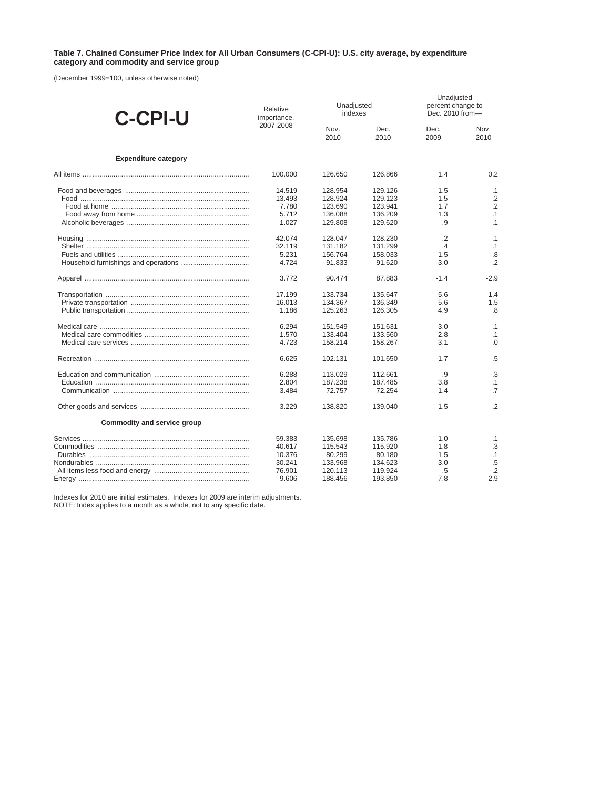#### **Table 7. Chained Consumer Price Index for All Urban Consumers (C-CPI-U): U.S. city average, by expenditure category and commodity and service group**

(December 1999=100, unless otherwise noted)

| <b>C-CPI-U</b>              | Relative<br>importance,<br>2007-2008 | Unadjusted<br>indexes |              | Unadjusted<br>percent change to<br>Dec. 2010 from- |                 |
|-----------------------------|--------------------------------------|-----------------------|--------------|----------------------------------------------------|-----------------|
|                             |                                      | Nov.<br>2010          | Dec.<br>2010 | Dec.<br>2009                                       | Nov.<br>2010    |
| <b>Expenditure category</b> |                                      |                       |              |                                                    |                 |
|                             | 100.000                              | 126.650               | 126.866      | 1.4                                                | 0.2             |
|                             | 14.519                               | 128.954               | 129.126      | 1.5                                                | .1              |
|                             | 13.493                               | 128.924               | 129.123      | 1.5                                                | $.2\phantom{0}$ |
|                             | 7.780                                | 123.690               | 123.941      | 1.7                                                | $.2\phantom{0}$ |
|                             | 5.712                                | 136.088               | 136.209      | 1.3                                                | .1              |
|                             | 1.027                                | 129.808               | 129.620      | .9                                                 | $-.1$           |
|                             | 42.074                               | 128.047               | 128.230      | .2                                                 | .1              |
|                             | 32.119                               | 131.182               | 131.299      | .4                                                 | .1              |
|                             | 5.231                                | 156.764               | 158.033      | 1.5                                                | .8              |
|                             | 4.724                                | 91.833                | 91.620       | $-3.0$                                             | $-2$            |
|                             | 3.772                                | 90.474                | 87.883       | $-1.4$                                             | $-2.9$          |
|                             | 17.199                               | 133.734               | 135.647      | 5.6                                                | 1.4             |
|                             | 16.013                               | 134.367               | 136.349      | 5.6                                                | 1.5             |
|                             | 1.186                                | 125.263               | 126.305      | 4.9                                                | .8              |
|                             | 6.294                                | 151.549               | 151.631      | 3.0                                                | $\cdot$ 1       |
|                             | 1.570                                | 133.404               | 133.560      | 2.8                                                | $\cdot$ 1       |
|                             | 4.723                                | 158.214               | 158.267      | 3.1                                                | $\Omega$        |
|                             | 6.625                                | 102.131               | 101.650      | $-1.7$                                             | $-.5$           |
|                             | 6.288                                | 113.029               | 112.661      | .9                                                 | $-.3$           |
|                             | 2.804                                | 187.238               | 187.485      | 3.8                                                | $\cdot$ 1       |
|                             | 3.484                                | 72.757                | 72.254       | $-1.4$                                             | $-.7$           |
|                             | 3.229                                | 138.820               | 139.040      | 1.5                                                | $\cdot$         |
| Commodity and service group |                                      |                       |              |                                                    |                 |
|                             | 59.383                               | 135.698               | 135.786      | 1.0                                                | .1              |
|                             | 40.617                               | 115.543               | 115.920      | 1.8                                                | .3              |
|                             | 10.376                               | 80.299                | 80.180       | $-1.5$                                             | $-.1$           |
|                             | 30.241                               | 133.968               | 134.623      | 3.0                                                | .5              |
|                             | 76.901                               | 120.113               | 119.924      | .5                                                 | $-.2$           |
|                             | 9.606                                | 188.456               | 193.850      | 7.8                                                | 2.9             |
|                             |                                      |                       |              |                                                    |                 |

Indexes for 2010 are initial estimates. Indexes for 2009 are interim adjustments. NOTE: Index applies to a month as a whole, not to any specific date.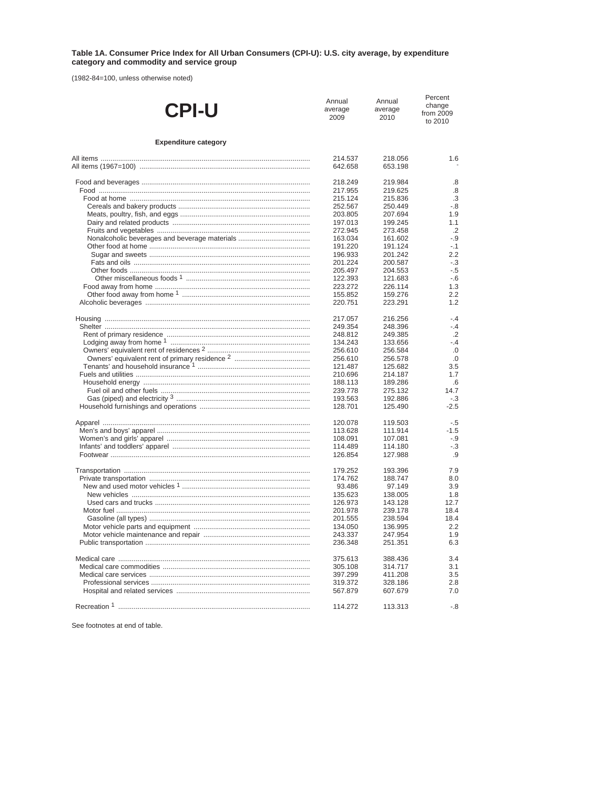#### **Table 1A. Consumer Price Index for All Urban Consumers (CPI-U): U.S. city average, by expenditure category and commodity and service group**

(1982-84=100, unless otherwise noted)

| <b>CPI-U</b>                                  | Annual<br>average<br>2009 | Annual<br>average<br>2010 | Percent<br>change<br>from 2009<br>to 2010 |
|-----------------------------------------------|---------------------------|---------------------------|-------------------------------------------|
| <b>Expenditure category</b>                   |                           |                           |                                           |
|                                               | 214.537                   | 218.056                   | 1.6                                       |
|                                               | 642.658                   | 653.198                   |                                           |
|                                               | 218.249                   | 219.984                   | .8                                        |
|                                               | 217.955                   | 219.625                   | .8                                        |
|                                               | 215.124                   | 215.836                   | .3                                        |
|                                               | 252.567                   | 250.449                   | $-8$                                      |
|                                               | 203.805                   | 207.694                   | 1.9                                       |
|                                               | 197.013                   | 199.245                   | 1.1                                       |
|                                               | 272.945                   | 273.458                   | $.2\phantom{0}$                           |
| Nonalcoholic beverages and beverage materials | 163.034<br>191.220        | 161.602<br>191.124        | $-9$<br>$-1$                              |
|                                               | 196.933                   | 201.242                   | 2.2                                       |
|                                               | 201.224                   | 200.587                   | $-.3$                                     |
|                                               | 205.497                   | 204.553                   | $-.5$                                     |
|                                               | 122.393                   | 121.683                   | $-6$                                      |
|                                               | 223.272                   | 226.114                   | 1.3                                       |
|                                               | 155.852                   | 159.276                   | 2.2                                       |
|                                               | 220.751                   | 223.291                   | 1.2                                       |
|                                               | 217.057                   | 216.256                   | $-.4$                                     |
|                                               | 249.354                   | 248.396                   | $-.4$                                     |
|                                               | 248.812                   | 249.385                   | $.2\,$                                    |
|                                               | 134.243                   | 133.656                   | $-.4$                                     |
|                                               | 256.610                   | 256.584                   | .0                                        |
|                                               | 256.610                   | 256.578                   | .0                                        |
|                                               | 121.487                   | 125.682                   | 3.5                                       |
|                                               | 210.696                   | 214.187                   | 1.7                                       |
|                                               | 188.113<br>239.778        | 189.286<br>275.132        | .6<br>14.7                                |
|                                               | 193.563                   | 192.886                   | $-3$                                      |
|                                               | 128.701                   | 125.490                   | $-2.5$                                    |
|                                               | 120.078                   | 119.503                   | $-.5$                                     |
|                                               | 113.628                   | 111.914                   | $-1.5$                                    |
|                                               | 108.091                   | 107.081                   | -.9                                       |
|                                               | 114.489                   | 114.180                   | $-.3$                                     |
|                                               | 126.854                   | 127.988                   | .9                                        |
|                                               | 179.252                   | 193.396                   | 7.9                                       |
|                                               | 174.762                   | 188.747                   | 8.0                                       |
|                                               | 93.486                    | 97.149                    | 3.9                                       |
|                                               | 135.623                   | 138.005                   | 1.8                                       |
|                                               | 126.973                   | 143.128                   | 12.7                                      |
|                                               | 201.978                   | 239.178                   | 18.4                                      |
|                                               | 201.555                   | 238.594                   | 18.4                                      |
|                                               | 134.050                   | 136.995                   | 2.2                                       |
|                                               | 243.337<br>236.348        | 247.954<br>251.351        | 1.9<br>6.3                                |
|                                               | 375.613                   | 388.436                   | 3.4                                       |
|                                               | 305.108                   | 314.717                   | 3.1                                       |
|                                               | 397.299                   | 411.208                   | 3.5                                       |
|                                               | 319.372                   | 328.186                   | 2.8                                       |
|                                               | 567.879                   | 607.679                   | 7.0                                       |
|                                               | 114.272                   | 113.313                   | $-8$                                      |
|                                               |                           |                           |                                           |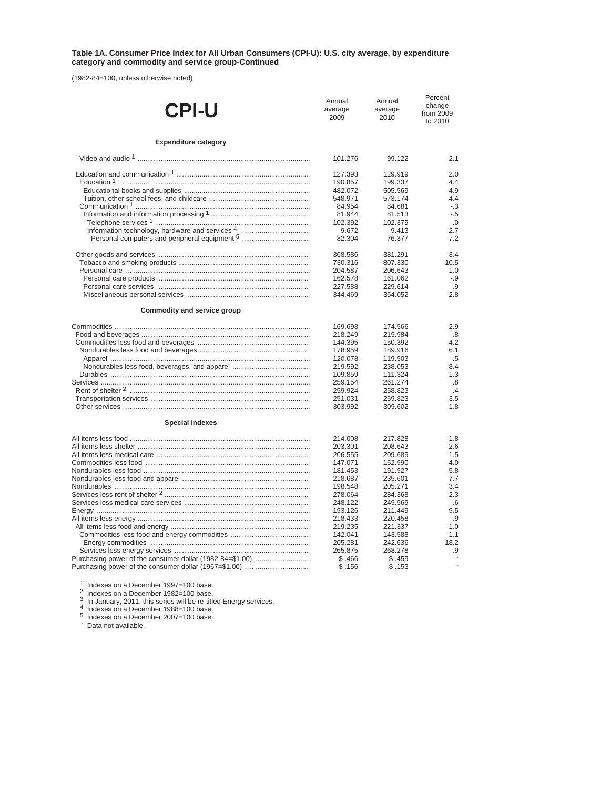#### **Table 1A. Consumer Price Index for All Urban Consumers (CPI-U): U.S. city average, by expenditure category and commodity and service group-Continued**

(1982-84=100, unless otherwise noted)

| <b>CPI-U</b>                                             | Annual<br>average<br>2009 | Annual<br>average<br>2010 | Percent<br>change<br>from 2009<br>to 2010 |
|----------------------------------------------------------|---------------------------|---------------------------|-------------------------------------------|
| <b>Expenditure category</b>                              |                           |                           |                                           |
|                                                          | 101.276                   | 99.122                    | $-2.1$                                    |
|                                                          | 127.393                   | 129.919                   | 2.0                                       |
|                                                          | 190.857                   | 199.337                   | 4.4                                       |
|                                                          | 482.072                   | 505.569                   | 4.9                                       |
|                                                          | 548.971                   | 573.174                   | 4.4                                       |
|                                                          | 84.954                    | 84.681                    | $-.3$                                     |
|                                                          | 81.944                    | 81.513                    | $-5$                                      |
|                                                          | 102.392                   | 102.379                   | .0                                        |
|                                                          | 9.672                     | 9.413                     | $-2.7$                                    |
|                                                          | 82.304                    | 76.377                    | $-7.2$                                    |
|                                                          | 368.586                   | 381.291                   | 3.4                                       |
|                                                          | 730.316                   | 807.330                   | 10.5                                      |
|                                                          | 204.587                   | 206.643                   | 1.0                                       |
|                                                          | 162.578                   | 161.062                   | $-9$                                      |
|                                                          | 227.588                   | 229.614                   | .9                                        |
|                                                          | 344.469                   | 354.052                   | 2.8                                       |
| Commodity and service group                              |                           |                           |                                           |
|                                                          | 169.698                   | 174.566                   | 2.9                                       |
|                                                          | 218.249                   | 219.984                   | .8                                        |
|                                                          | 144.395                   | 150.392                   | 4.2                                       |
|                                                          | 178.959                   | 189.916                   | 6.1                                       |
|                                                          | 120.078                   | 119.503                   | $-.5$                                     |
|                                                          | 219.592                   | 238.053                   | 8.4                                       |
|                                                          | 109.859                   | 111.324                   | 1.3                                       |
|                                                          | 259.154                   | 261.274                   | .8                                        |
|                                                          | 259.924                   | 258.823                   | $-.4$                                     |
|                                                          | 251.031                   | 259.823                   | 3.5                                       |
|                                                          | 303.992                   | 309.602                   | 1.8                                       |
| <b>Special indexes</b>                                   |                           |                           |                                           |
|                                                          | 214.008                   | 217.828                   | 1.8                                       |
|                                                          | 203.301                   | 208.643                   | 2.6                                       |
|                                                          | 206.555                   | 209.689                   | 1.5                                       |
|                                                          | 147.071                   | 152.990                   | 4.0                                       |
|                                                          | 181.453                   | 191.927                   | 5.8                                       |
|                                                          | 218.687                   | 235.601                   | 7.7                                       |
|                                                          | 198.548                   | 205.271                   | 3.4                                       |
|                                                          | 278.064                   | 284.368                   | 2.3                                       |
|                                                          | 248.122                   | 249.569                   | .6                                        |
|                                                          | 193.126                   | 211.449                   | 9.5                                       |
|                                                          | 218.433                   | 220.458                   | .9                                        |
|                                                          | 219.235                   | 221.337                   | 1.0                                       |
|                                                          | 142.041                   | 143.588                   | 1.1                                       |
|                                                          | 205.281                   | 242.636                   | 18.2                                      |
|                                                          | 265.875                   | 268.278                   | .9                                        |
| Purchasing power of the consumer dollar (1982-84=\$1.00) | \$.466                    | \$.459                    |                                           |
|                                                          | \$.156                    | \$.153                    |                                           |

1 Indexes on a December 1997=100 base.<br>
2 Indexes on a December 1982=100 base.<br>
3 In January, 2011, this series will be re-titled Energy services.<br>
4 Indexes on a December 1988=100 base.<br>
5 Indexes on a December 2007=100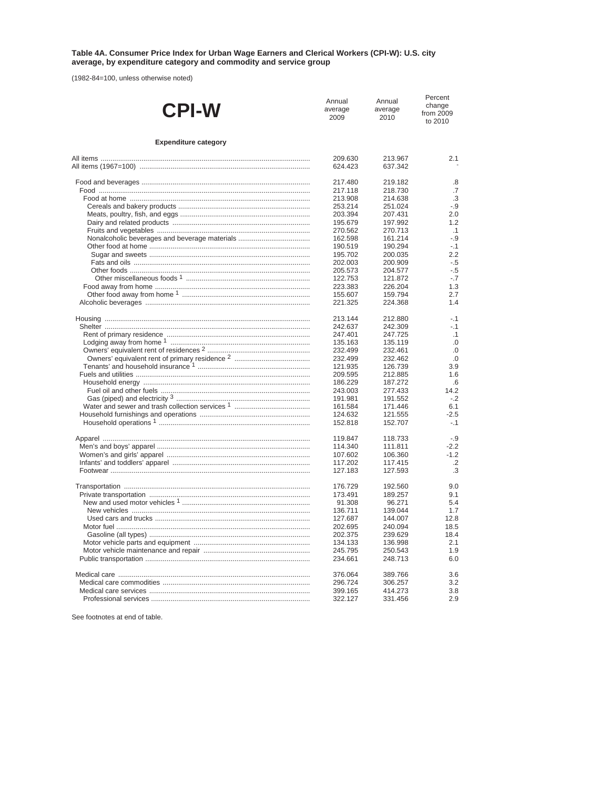#### **Table 4A. Consumer Price Index for Urban Wage Earners and Clerical Workers (CPI-W): U.S. city average, by expenditure category and commodity and service group**

(1982-84=100, unless otherwise noted)

| <b>CPI-W</b>                | Annual<br>average<br>2009 | Annual<br>average<br>2010 | Percent<br>change<br>from 2009<br>to 2010 |
|-----------------------------|---------------------------|---------------------------|-------------------------------------------|
| <b>Expenditure category</b> |                           |                           |                                           |
|                             | 209.630                   | 213.967                   | 2.1                                       |
|                             | 624.423                   | 637.342                   |                                           |
|                             | 217.480                   | 219.182                   | .8                                        |
|                             | 217.118                   | 218.730                   | .7                                        |
|                             | 213.908                   | 214.638                   | .3                                        |
|                             | 253.214                   | 251.024                   | $-.9$                                     |
|                             | 203.394                   | 207.431                   | 2.0                                       |
|                             | 195.679                   | 197.992                   | 1.2                                       |
|                             | 270.562                   | 270.713                   | .1                                        |
|                             | 162.598                   | 161.214                   | $-9$                                      |
|                             | 190.519                   | 190.294                   | $-1$<br>2.2                               |
|                             | 195.702<br>202.003        | 200.035<br>200.909        | $-.5$                                     |
|                             | 205.573                   | 204.577                   | $-.5$                                     |
|                             | 122.753                   | 121.872                   | $-.7$                                     |
|                             | 223.383                   | 226.204                   | 1.3                                       |
|                             | 155.607                   | 159.794                   | 2.7                                       |
|                             | 221.325                   | 224.368                   | 1.4                                       |
|                             | 213.144                   | 212.880                   | $-.1$                                     |
|                             | 242.637                   | 242.309                   | $-.1$                                     |
|                             | 247.401                   | 247.725                   | .1                                        |
|                             | 135.163                   | 135.119                   | $.0\,$                                    |
|                             | 232.499                   | 232.461                   | .0                                        |
|                             | 232.499                   | 232.462                   | .0                                        |
|                             | 121.935                   | 126.739                   | 3.9                                       |
|                             | 209.595                   | 212.885                   | 1.6                                       |
|                             | 186.229                   | 187.272                   | .6<br>14.2                                |
|                             | 243.003<br>191.981        | 277.433<br>191.552        | $-2$                                      |
|                             | 161.584                   | 171.446                   | 6.1                                       |
|                             | 124.632                   | 121.555                   | $-2.5$                                    |
|                             | 152.818                   | 152.707                   | $-.1$                                     |
|                             | 119.847                   | 118.733                   | $-0.9$                                    |
|                             | 114.340                   | 111.811                   | $-2.2$                                    |
|                             | 107.602                   | 106.360                   | $-1.2$                                    |
|                             | 117.202                   | 117.415                   | $.2\,$                                    |
|                             | 127.183                   | 127.593                   | .3                                        |
|                             | 176.729                   | 192.560                   | 9.0                                       |
|                             | 173.491                   | 189.257                   | 9.1                                       |
|                             | 91.308                    | 96.271                    | 5.4                                       |
|                             | 136.711                   | 139.044                   | 1.7                                       |
|                             | 127.687                   | 144.007                   | 12.8                                      |
|                             | 202.695                   | 240.094                   | 18.5                                      |
|                             | 202.375                   | 239.629                   | 18.4                                      |
|                             | 134.133                   | 136.998                   | 2.1                                       |
|                             | 245.795<br>234.661        | 250.543<br>248.713        | 1.9<br>6.0                                |
|                             | 376.064                   | 389.766                   | 3.6                                       |
|                             | 296.724                   | 306.257                   | 3.2                                       |
|                             | 399.165                   | 414.273                   | 3.8                                       |
|                             | 322.127                   | 331.456                   | 2.9                                       |